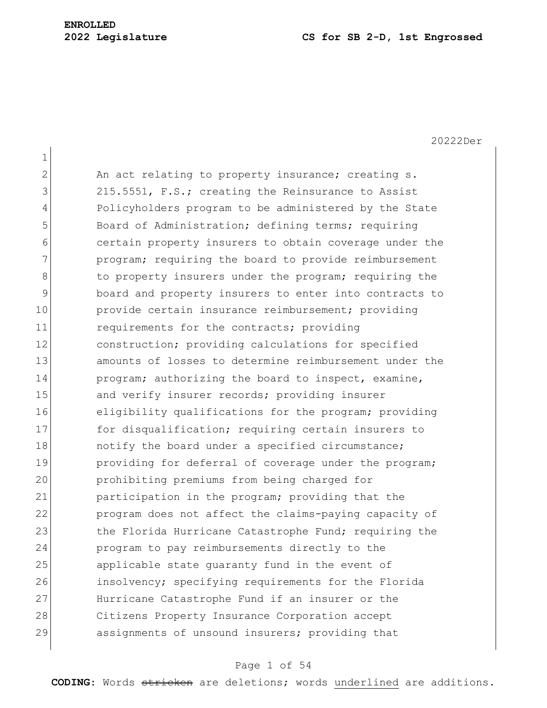| $\mathbf 1$   |                                                        |
|---------------|--------------------------------------------------------|
| 2             | An act relating to property insurance; creating s.     |
| 3             | 215.5551, F.S.; creating the Reinsurance to Assist     |
| 4             | Policyholders program to be administered by the State  |
| 5             | Board of Administration; defining terms; requiring     |
| 6             | certain property insurers to obtain coverage under the |
| 7             | program; requiring the board to provide reimbursement  |
| 8             | to property insurers under the program; requiring the  |
| $\mathcal{G}$ | board and property insurers to enter into contracts to |
| 10            | provide certain insurance reimbursement; providing     |
| 11            | requirements for the contracts; providing              |
| 12            | construction; providing calculations for specified     |
| 13            | amounts of losses to determine reimbursement under the |
| 14            | program; authorizing the board to inspect, examine,    |
| 15            | and verify insurer records; providing insurer          |
| 16            | eligibility qualifications for the program; providing  |
| 17            | for disqualification; requiring certain insurers to    |
| 18            | notify the board under a specified circumstance;       |
| 19            | providing for deferral of coverage under the program;  |
| 20            | prohibiting premiums from being charged for            |
| 21            | participation in the program; providing that the       |
| 22            | program does not affect the claims-paying capacity of  |
| 23            | the Florida Hurricane Catastrophe Fund; requiring the  |
| 24            | program to pay reimbursements directly to the          |
| 25            | applicable state guaranty fund in the event of         |
| 26            | insolvency; specifying requirements for the Florida    |
| 27            | Hurricane Catastrophe Fund if an insurer or the        |
| 28            | Citizens Property Insurance Corporation accept         |
| 29            | assignments of unsound insurers; providing that        |

# Page 1 of 54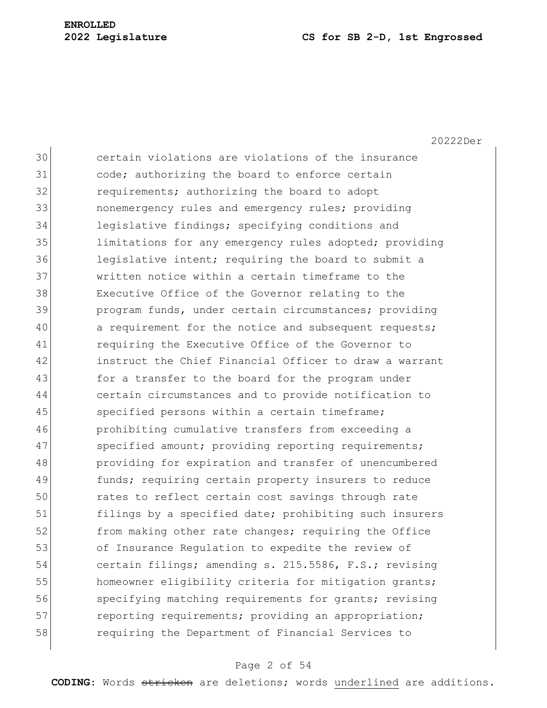20222Der

30 certain violations are violations of the insurance 31 code; authorizing the board to enforce certain 32 requirements; authorizing the board to adopt 33 nonemergency rules and emergency rules; providing 34 legislative findings; specifying conditions and 35 limitations for any emergency rules adopted; providing 36 legislative intent; requiring the board to submit a 37 written notice within a certain timeframe to the 38 Executive Office of the Governor relating to the 39 program funds, under certain circumstances; providing 40 a requirement for the notice and subsequent requests; 41 requiring the Executive Office of the Governor to 42 instruct the Chief Financial Officer to draw a warrant 43 for a transfer to the board for the program under 44 certain circumstances and to provide notification to 45 specified persons within a certain timeframe; 46 prohibiting cumulative transfers from exceeding a 47 specified amount; providing reporting requirements; 48 providing for expiration and transfer of unencumbered 49 **funds;** requiring certain property insurers to reduce 50 rates to reflect certain cost savings through rate 51 filings by a specified date; prohibiting such insurers 52 from making other rate changes; requiring the Office 53 of Insurance Regulation to expedite the review of 54 certain filings; amending s. 215.5586, F.S.; revising 55 homeowner eligibility criteria for mitigation grants; 56 specifying matching requirements for grants; revising 57 reporting requirements; providing an appropriation; 58 requiring the Department of Financial Services to

## Page 2 of 54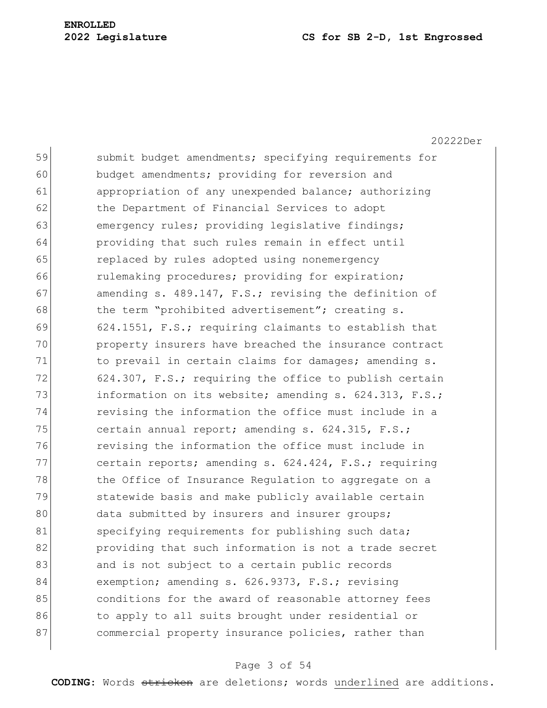20222Der 59 submit budget amendments; specifying requirements for 60 budget amendments; providing for reversion and 61 appropriation of any unexpended balance; authorizing 62 the Department of Financial Services to adopt 63 emergency rules; providing legislative findings; 64 providing that such rules remain in effect until 65 replaced by rules adopted using nonemergency 66 rulemaking procedures; providing for expiration; 67 amending s. 489.147, F.S.; revising the definition of 68 the term "prohibited advertisement"; creating s. 69 624.1551, F.S.; requiring claimants to establish that 70 property insurers have breached the insurance contract 71 to prevail in certain claims for damages; amending s. 72 624.307, F.S.; requiring the office to publish certain 73 information on its website; amending s. 624.313, F.S.; 74 revising the information the office must include in a 75 certain annual report; amending s.  $624.315$ , F.S.; 76 revising the information the office must include in 77 certain reports; amending s. 624.424, F.S.; requiring 78 the Office of Insurance Regulation to aggregate on a 79 Statewide basis and make publicly available certain 80 data submitted by insurers and insurer groups; 81 specifying requirements for publishing such data; 82 providing that such information is not a trade secret 83 and is not subject to a certain public records 84 exemption; amending s. 626.9373, F.S.; revising 85 85 6 85 conditions for the award of reasonable attorney fees 86 to apply to all suits brought under residential or 87 commercial property insurance policies, rather than

### Page 3 of 54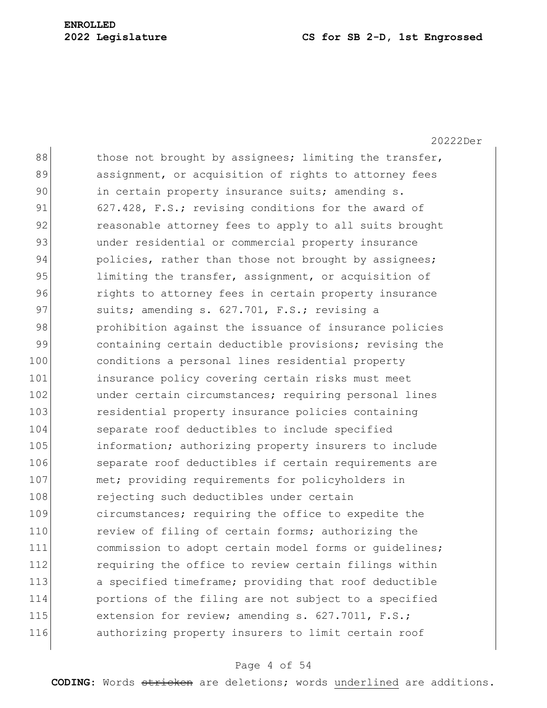20222Der  $88$  those not brought by assignees; limiting the transfer, 89 assignment, or acquisition of rights to attorney fees 90 in certain property insurance suits; amending s. 91 627.428, F.S.; revising conditions for the award of 92 reasonable attorney fees to apply to all suits brought 93 ander residential or commercial property insurance 94 policies, rather than those not brought by assignees; 95 limiting the transfer, assignment, or acquisition of 96 **rights to attorney fees in certain property insurance** 97 suits; amending s. 627.701, F.S.; revising a 98 prohibition against the issuance of insurance policies 99 containing certain deductible provisions; revising the 100 conditions a personal lines residential property 101 insurance policy covering certain risks must meet 102 ander certain circumstances; requiring personal lines 103 residential property insurance policies containing 104 separate roof deductibles to include specified 105 information; authorizing property insurers to include 106 separate roof deductibles if certain requirements are 107 met; providing requirements for policyholders in 108 rejecting such deductibles under certain 109 circumstances; requiring the office to expedite the 110 review of filing of certain forms; authorizing the 111 commission to adopt certain model forms or guidelines; 112 requiring the office to review certain filings within 113 a specified timeframe; providing that roof deductible 114 portions of the filing are not subject to a specified 115 extension for review; amending s. 627.7011, F.S.; 116 authorizing property insurers to limit certain roof

### Page 4 of 54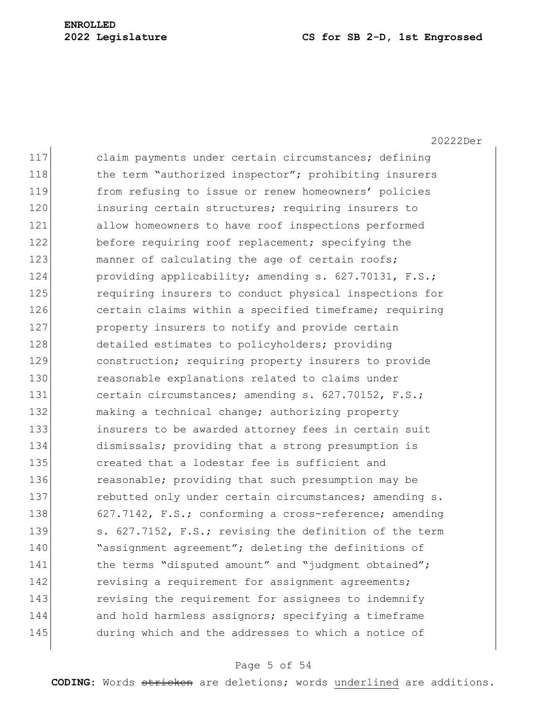20222Der

117 claim payments under certain circumstances; defining 118 the term "authorized inspector"; prohibiting insurers 119 from refusing to issue or renew homeowners' policies 120 insuring certain structures; requiring insurers to 121 allow homeowners to have roof inspections performed 122 before requiring roof replacement; specifying the 123 manner of calculating the age of certain roofs; 124 providing applicability; amending s. 627.70131, F.S.; 125 **requiring insurers to conduct physical inspections for** 126 certain claims within a specified timeframe; requiring 127 **property insurers to notify and provide certain** 128 detailed estimates to policyholders; providing 129 construction; requiring property insurers to provide 130 reasonable explanations related to claims under 131 certain circumstances; amending s. 627.70152, F.S.; 132 making a technical change; authorizing property 133 insurers to be awarded attorney fees in certain suit 134 dismissals; providing that a strong presumption is 135 created that a lodestar fee is sufficient and 136 reasonable; providing that such presumption may be 137 rebutted only under certain circumstances; amending s. 138 627.7142, F.S.; conforming a cross-reference; amending 139 s. 627.7152, F.S.; revising the definition of the term 140 **Number** agreement"; deleting the definitions of 141 the terms "disputed amount" and "judgment obtained"; 142 revising a requirement for assignment agreements; 143 revising the requirement for assignees to indemnify 144 and hold harmless assignors; specifying a timeframe 145 during which and the addresses to which a notice of

## Page 5 of 54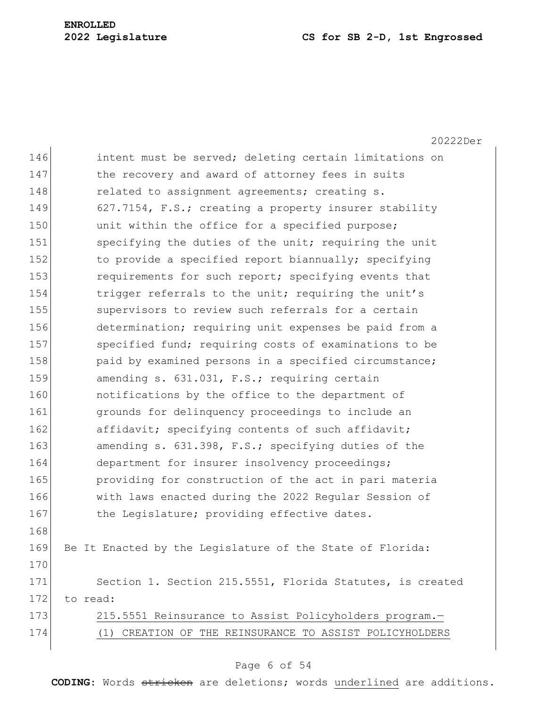20222Der 146 intent must be served; deleting certain limitations on 147 the recovery and award of attorney fees in suits 148 related to assignment agreements; creating s. 149 627.7154, F.S.; creating a property insurer stability 150 unit within the office for a specified purpose; 151 specifying the duties of the unit; requiring the unit 152 to provide a specified report biannually; specifying 153 requirements for such report; specifying events that 154 trigger referrals to the unit; requiring the unit's 155 Supervisors to review such referrals for a certain 156 determination; requiring unit expenses be paid from a 157 Specified fund; requiring costs of examinations to be 158 paid by examined persons in a specified circumstance; 159 amending s. 631.031, F.S.; requiring certain 160 **notifications** by the office to the department of 161 **grounds** for delinquency proceedings to include an 162 affidavit; specifying contents of such affidavit; 163 amending s. 631.398, F.S.; specifying duties of the 164 department for insurer insolvency proceedings; 165 **providing for construction of the act in pari materia** 166 with laws enacted during the 2022 Regular Session of 167 the Legislature; providing effective dates. 168 169 Be It Enacted by the Legislature of the State of Florida: 170 171 Section 1. Section 215.5551, Florida Statutes, is created 172 to read: 173 215.5551 Reinsurance to Assist Policyholders program. 174 (1) CREATION OF THE REINSURANCE TO ASSIST POLICYHOLDERS

#### Page 6 of 54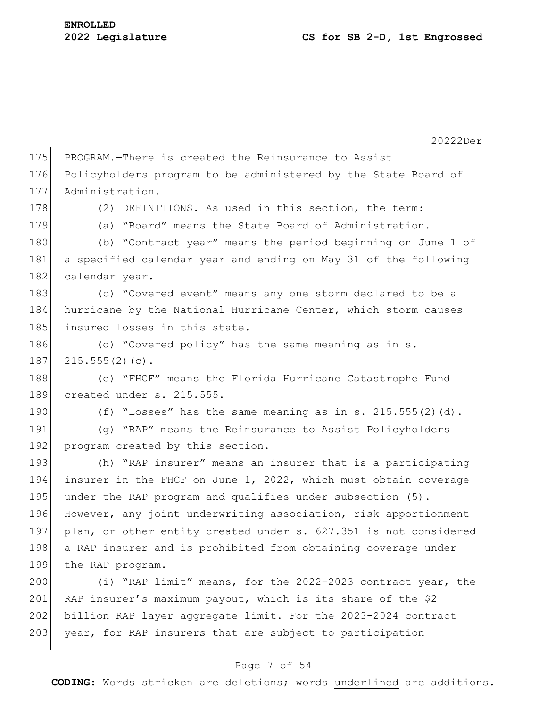|     | 20222Der                                                         |
|-----|------------------------------------------------------------------|
| 175 | PROGRAM.-There is created the Reinsurance to Assist              |
| 176 | Policyholders program to be administered by the State Board of   |
| 177 | Administration.                                                  |
| 178 | (2) DEFINITIONS. - As used in this section, the term:            |
| 179 | (a) "Board" means the State Board of Administration.             |
| 180 | (b) "Contract year" means the period beginning on June 1 of      |
| 181 | a specified calendar year and ending on May 31 of the following  |
| 182 | calendar year.                                                   |
| 183 | (c) "Covered event" means any one storm declared to be a         |
| 184 | hurricane by the National Hurricane Center, which storm causes   |
| 185 | insured losses in this state.                                    |
| 186 | (d) "Covered policy" has the same meaning as in s.               |
| 187 | $215.555(2)(c)$ .                                                |
| 188 | (e) "FHCF" means the Florida Hurricane Catastrophe Fund          |
| 189 | created under s. 215.555.                                        |
| 190 | (f) "Losses" has the same meaning as in s. 215.555(2)(d).        |
| 191 | (g) "RAP" means the Reinsurance to Assist Policyholders          |
| 192 | program created by this section.                                 |
| 193 | (h) "RAP insurer" means an insurer that is a participating       |
| 194 | insurer in the FHCF on June 1, 2022, which must obtain coverage  |
| 195 | under the RAP program and qualifies under subsection (5).        |
| 196 | However, any joint underwriting association, risk apportionment  |
| 197 | plan, or other entity created under s. 627.351 is not considered |
| 198 | a RAP insurer and is prohibited from obtaining coverage under    |
| 199 | the RAP program.                                                 |
| 200 | (i) "RAP limit" means, for the 2022-2023 contract year, the      |
| 201 | RAP insurer's maximum payout, which is its share of the \$2      |
| 202 | billion RAP layer aggregate limit. For the 2023-2024 contract    |
| 203 | year, for RAP insurers that are subject to participation         |
|     |                                                                  |

# Page 7 of 54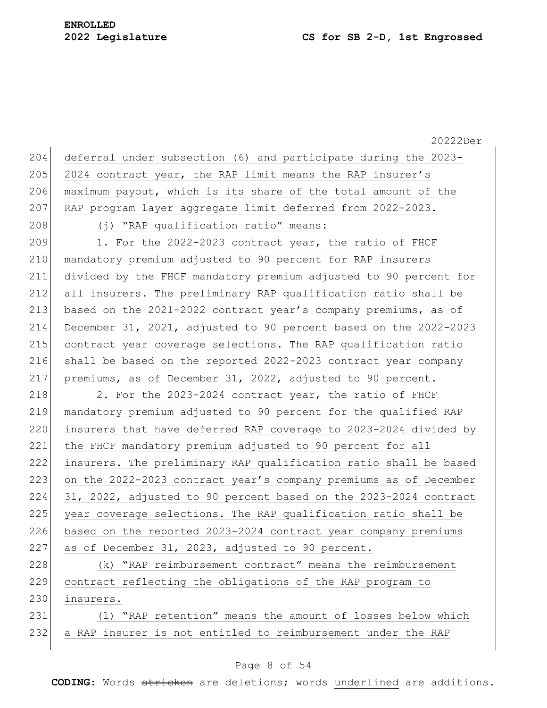|     | 20222Der                                                         |
|-----|------------------------------------------------------------------|
| 204 | deferral under subsection (6) and participate during the 2023-   |
| 205 | 2024 contract year, the RAP limit means the RAP insurer's        |
| 206 | maximum payout, which is its share of the total amount of the    |
| 207 | RAP program layer aggregate limit deferred from 2022-2023.       |
| 208 | (j) "RAP qualification ratio" means:                             |
| 209 | 1. For the 2022-2023 contract year, the ratio of FHCF            |
| 210 | mandatory premium adjusted to 90 percent for RAP insurers        |
| 211 | divided by the FHCF mandatory premium adjusted to 90 percent for |
| 212 | all insurers. The preliminary RAP qualification ratio shall be   |
| 213 | based on the 2021-2022 contract year's company premiums, as of   |
| 214 | December 31, 2021, adjusted to 90 percent based on the 2022-2023 |
| 215 | contract year coverage selections. The RAP qualification ratio   |
| 216 | shall be based on the reported 2022-2023 contract year company   |
| 217 | premiums, as of December 31, 2022, adjusted to 90 percent.       |
| 218 | 2. For the 2023-2024 contract year, the ratio of FHCF            |
| 219 | mandatory premium adjusted to 90 percent for the qualified RAP   |
| 220 | insurers that have deferred RAP coverage to 2023-2024 divided by |
| 221 | the FHCF mandatory premium adjusted to 90 percent for all        |
| 222 | insurers. The preliminary RAP qualification ratio shall be based |
| 223 | on the 2022-2023 contract year's company premiums as of December |
| 224 | 31, 2022, adjusted to 90 percent based on the 2023-2024 contract |
| 225 | year coverage selections. The RAP qualification ratio shall be   |
| 226 | based on the reported 2023-2024 contract year company premiums   |
| 227 | as of December 31, 2023, adjusted to 90 percent.                 |
| 228 | (k) "RAP reimbursement contract" means the reimbursement         |
| 229 | contract reflecting the obligations of the RAP program to        |
| 230 | insurers.                                                        |
| 231 | "RAP retention" means the amount of losses below which<br>( 1 )  |
| 232 | a RAP insurer is not entitled to reimbursement under the RAP     |
|     |                                                                  |

# Page 8 of 54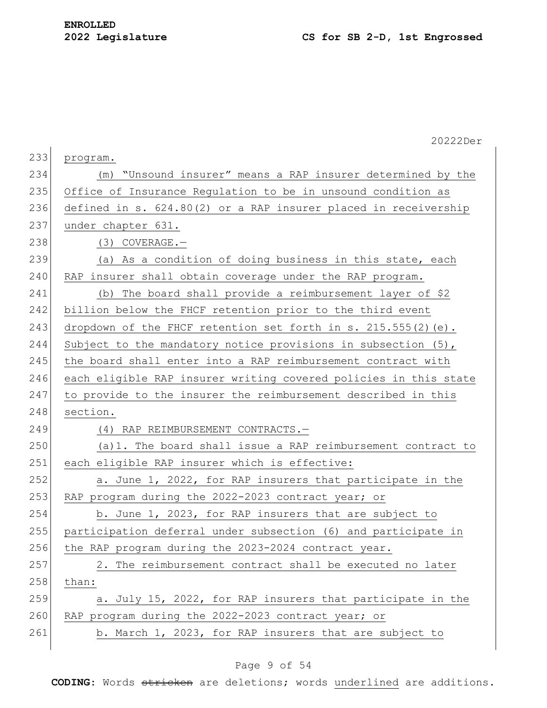|     | 20222Der                                                         |
|-----|------------------------------------------------------------------|
| 233 | program.                                                         |
| 234 | (m) "Unsound insurer" means a RAP insurer determined by the      |
| 235 | Office of Insurance Regulation to be in unsound condition as     |
| 236 | defined in s. 624.80(2) or a RAP insurer placed in receivership  |
| 237 | under chapter 631.                                               |
| 238 | $(3)$ COVERAGE. -                                                |
| 239 | (a) As a condition of doing business in this state, each         |
| 240 | RAP insurer shall obtain coverage under the RAP program.         |
| 241 | (b) The board shall provide a reimbursement layer of \$2         |
| 242 | billion below the FHCF retention prior to the third event        |
| 243 | dropdown of the FHCF retention set forth in s. $215.555(2)$ (e). |
| 244 | Subject to the mandatory notice provisions in subsection $(5)$ , |
| 245 | the board shall enter into a RAP reimbursement contract with     |
| 246 | each eligible RAP insurer writing covered policies in this state |
| 247 | to provide to the insurer the reimbursement described in this    |
| 248 | section.                                                         |
| 249 | (4) RAP REIMBURSEMENT CONTRACTS.-                                |
| 250 | (a) 1. The board shall issue a RAP reimbursement contract to     |
| 251 | each eligible RAP insurer which is effective:                    |
| 252 | a. June 1, 2022, for RAP insurers that participate in the        |
| 253 | RAP program during the 2022-2023 contract year; or               |
| 254 | b. June 1, 2023, for RAP insurers that are subject to            |
| 255 | participation deferral under subsection (6) and participate in   |
| 256 | the RAP program during the 2023-2024 contract year.              |
| 257 | 2. The reimbursement contract shall be executed no later         |
| 258 | than:                                                            |
| 259 | a. July 15, 2022, for RAP insurers that participate in the       |
| 260 | RAP program during the 2022-2023 contract year; or               |
| 261 | b. March 1, 2023, for RAP insurers that are subject to           |

# Page 9 of 54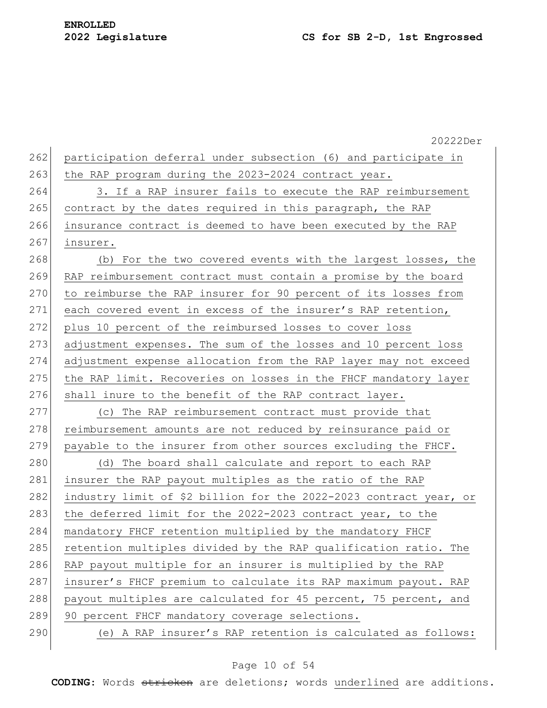|     | 20222Der                                                          |
|-----|-------------------------------------------------------------------|
| 262 | participation deferral under subsection (6) and participate in    |
| 263 | the RAP program during the 2023-2024 contract year.               |
| 264 | 3. If a RAP insurer fails to execute the RAP reimbursement        |
| 265 | contract by the dates required in this paragraph, the RAP         |
| 266 | insurance contract is deemed to have been executed by the RAP     |
| 267 | insurer.                                                          |
| 268 | (b) For the two covered events with the largest losses, the       |
| 269 | RAP reimbursement contract must contain a promise by the board    |
| 270 | to reimburse the RAP insurer for 90 percent of its losses from    |
| 271 | each covered event in excess of the insurer's RAP retention,      |
| 272 | plus 10 percent of the reimbursed losses to cover loss            |
| 273 | adjustment expenses. The sum of the losses and 10 percent loss    |
| 274 | adjustment expense allocation from the RAP layer may not exceed   |
| 275 | the RAP limit. Recoveries on losses in the FHCF mandatory layer   |
| 276 | shall inure to the benefit of the RAP contract layer.             |
| 277 | (c) The RAP reimbursement contract must provide that              |
| 278 | reimbursement amounts are not reduced by reinsurance paid or      |
| 279 | payable to the insurer from other sources excluding the FHCF.     |
| 280 | (d) The board shall calculate and report to each RAP              |
| 281 | insurer the RAP payout multiples as the ratio of the RAP          |
| 282 | industry limit of \$2 billion for the 2022-2023 contract year, or |
| 283 | the deferred limit for the 2022-2023 contract year, to the        |
| 284 | mandatory FHCF retention multiplied by the mandatory FHCF         |
| 285 | retention multiples divided by the RAP qualification ratio. The   |
| 286 | RAP payout multiple for an insurer is multiplied by the RAP       |
| 287 | insurer's FHCF premium to calculate its RAP maximum payout. RAP   |
| 288 | payout multiples are calculated for 45 percent, 75 percent, and   |
| 289 | 90 percent FHCF mandatory coverage selections.                    |
| 290 | (e) A RAP insurer's RAP retention is calculated as follows:       |
|     |                                                                   |

# Page 10 of 54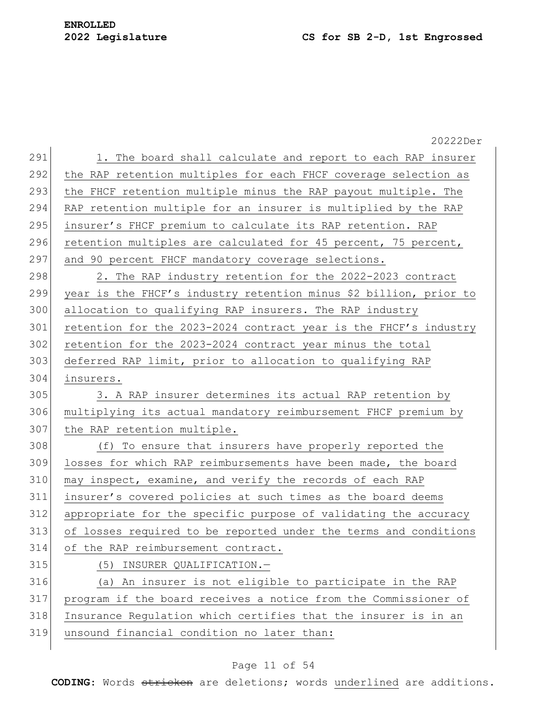20222Der 291 1. The board shall calculate and report to each RAP insurer 292 | the RAP retention multiples for each FHCF coverage selection as 293 the FHCF retention multiple minus the RAP payout multiple. The 294 RAP retention multiple for an insurer is multiplied by the RAP 295 insurer's FHCF premium to calculate its RAP retention. RAP 296 retention multiples are calculated for 45 percent, 75 percent, 297 and 90 percent FHCF mandatory coverage selections. 298 2. The RAP industry retention for the 2022-2023 contract 299 year is the FHCF's industry retention minus \$2 billion, prior to 300 allocation to qualifying RAP insurers. The RAP industry 301 retention for the 2023-2024 contract year is the FHCF's industry 302 retention for the 2023-2024 contract year minus the total 303 deferred RAP limit, prior to allocation to qualifying RAP 304 insurers. 305 3. A RAP insurer determines its actual RAP retention by 306 multiplying its actual mandatory reimbursement FHCF premium by 307 the RAP retention multiple. 308 (f) To ensure that insurers have properly reported the 309 losses for which RAP reimbursements have been made, the board 310 may inspect, examine, and verify the records of each RAP 311 insurer's covered policies at such times as the board deems 312 appropriate for the specific purpose of validating the accuracy 313 of losses required to be reported under the terms and conditions 314 of the RAP reimbursement contract. 315 (5) INSURER QUALIFICATION.— 316 (a) An insurer is not eligible to participate in the RAP 317 program if the board receives a notice from the Commissioner of 318 Insurance Regulation which certifies that the insurer is in an 319 unsound financial condition no later than:

## Page 11 of 54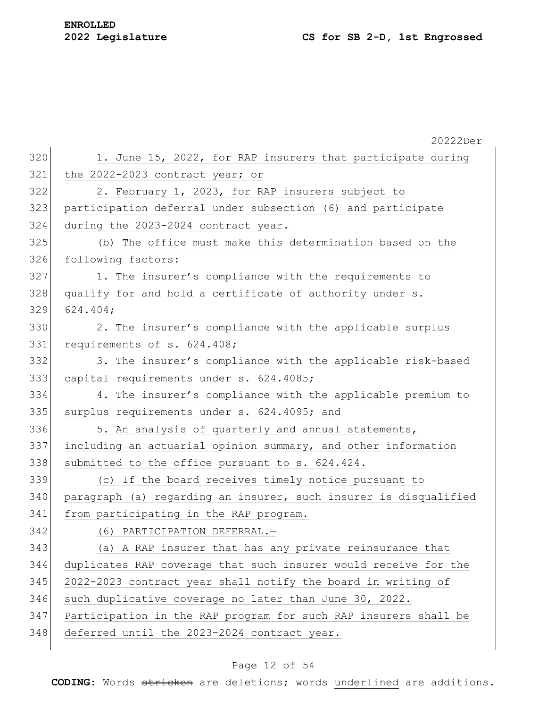# **ENROLLED**

|     | 20222Der                                                         |
|-----|------------------------------------------------------------------|
| 320 | 1. June 15, 2022, for RAP insurers that participate during       |
| 321 | the 2022-2023 contract year; or                                  |
| 322 | 2. February 1, 2023, for RAP insurers subject to                 |
| 323 | participation deferral under subsection (6) and participate      |
| 324 | during the 2023-2024 contract year.                              |
| 325 | (b) The office must make this determination based on the         |
| 326 | following factors:                                               |
| 327 | 1. The insurer's compliance with the requirements to             |
| 328 | qualify for and hold a certificate of authority under s.         |
| 329 | 624.404;                                                         |
| 330 | 2. The insurer's compliance with the applicable surplus          |
| 331 | requirements of s. 624.408;                                      |
| 332 | 3. The insurer's compliance with the applicable risk-based       |
| 333 | capital requirements under s. 624.4085;                          |
| 334 | 4. The insurer's compliance with the applicable premium to       |
| 335 | surplus requirements under s. 624.4095; and                      |
| 336 | 5. An analysis of quarterly and annual statements,               |
| 337 | including an actuarial opinion summary, and other information    |
| 338 | submitted to the office pursuant to s. 624.424.                  |
| 339 | (c) If the board receives timely notice pursuant to              |
| 340 | paragraph (a) regarding an insurer, such insurer is disqualified |
| 341 | from participating in the RAP program.                           |
| 342 | (6) PARTICIPATION DEFERRAL.-                                     |
| 343 | (a) A RAP insurer that has any private reinsurance that          |
| 344 | duplicates RAP coverage that such insurer would receive for the  |
| 345 | 2022-2023 contract year shall notify the board in writing of     |
| 346 | such duplicative coverage no later than June 30, 2022.           |
| 347 | Participation in the RAP program for such RAP insurers shall be  |
| 348 | deferred until the 2023-2024 contract year.                      |
|     |                                                                  |

# Page 12 of 54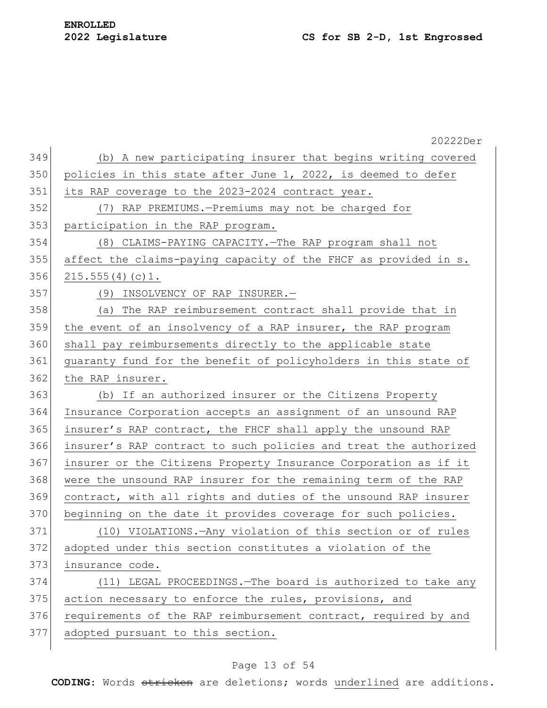|     | 20222Der                                                         |
|-----|------------------------------------------------------------------|
| 349 | (b) A new participating insurer that begins writing covered      |
| 350 | policies in this state after June 1, 2022, is deemed to defer    |
| 351 | its RAP coverage to the 2023-2024 contract year.                 |
| 352 | (7) RAP PREMIUMS.-Premiums may not be charged for                |
| 353 | participation in the RAP program.                                |
| 354 | (8) CLAIMS-PAYING CAPACITY. - The RAP program shall not          |
| 355 | affect the claims-paying capacity of the FHCF as provided in s.  |
| 356 | 215.555(4)(c)1.                                                  |
| 357 | (9) INSOLVENCY OF RAP INSURER.-                                  |
| 358 | (a) The RAP reimbursement contract shall provide that in         |
| 359 | the event of an insolvency of a RAP insurer, the RAP program     |
| 360 | shall pay reimbursements directly to the applicable state        |
| 361 | guaranty fund for the benefit of policyholders in this state of  |
| 362 | the RAP insurer.                                                 |
| 363 | (b) If an authorized insurer or the Citizens Property            |
| 364 | Insurance Corporation accepts an assignment of an unsound RAP    |
| 365 | insurer's RAP contract, the FHCF shall apply the unsound RAP     |
| 366 | insurer's RAP contract to such policies and treat the authorized |
| 367 | insurer or the Citizens Property Insurance Corporation as if it  |
| 368 | were the unsound RAP insurer for the remaining term of the RAP   |
| 369 | contract, with all rights and duties of the unsound RAP insurer  |
| 370 | beginning on the date it provides coverage for such policies.    |
| 371 | (10) VIOLATIONS. - Any violation of this section or of rules     |
| 372 | adopted under this section constitutes a violation of the        |
| 373 | insurance code.                                                  |
| 374 | (11) LEGAL PROCEEDINGS. - The board is authorized to take any    |
| 375 | action necessary to enforce the rules, provisions, and           |
| 376 | requirements of the RAP reimbursement contract, required by and  |
| 377 | adopted pursuant to this section.                                |
|     |                                                                  |

# Page 13 of 54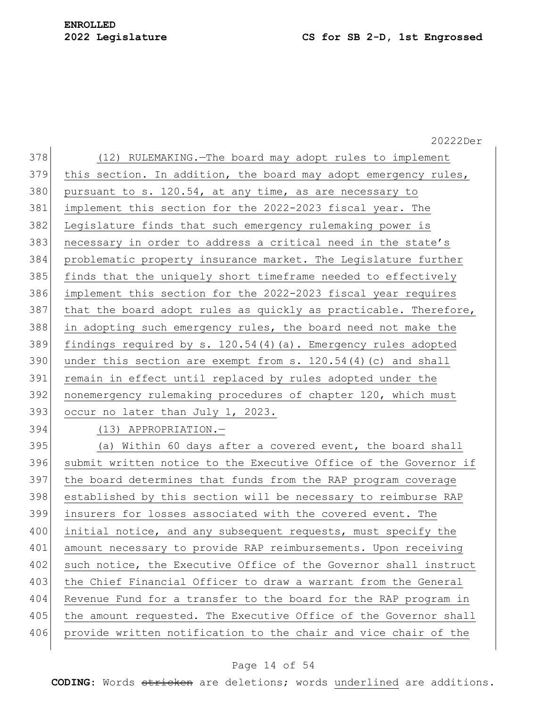378 (12) RULEMAKING.—The board may adopt rules to implement 379 this section. In addition, the board may adopt emergency rules,  $380$  pursuant to s. 120.54, at any time, as are necessary to 381 implement this section for the 2022-2023 fiscal year. The 382 Legislature finds that such emergency rulemaking power is 383 necessary in order to address a critical need in the state's 384 problematic property insurance market. The Legislature further 385 finds that the uniquely short timeframe needed to effectively 386 implement this section for the 2022-2023 fiscal year requires  $387$  that the board adopt rules as quickly as practicable. Therefore, 388 in adopting such emergency rules, the board need not make the 389 findings required by s. 120.54(4)(a). Emergency rules adopted 390 under this section are exempt from s.  $120.54(4)(c)$  and shall 391 remain in effect until replaced by rules adopted under the 392 nonemergency rulemaking procedures of chapter 120, which must 393 occur no later than July 1, 2023. 394 (13) APPROPRIATION.— 395 (a) Within 60 days after a covered event, the board shall 396 submit written notice to the Executive Office of the Governor if 397 the board determines that funds from the RAP program coverage 398 established by this section will be necessary to reimburse RAP 399 insurers for losses associated with the covered event. The 400 initial notice, and any subsequent requests, must specify the 401 amount necessary to provide RAP reimbursements. Upon receiving 402 such notice, the Executive Office of the Governor shall instruct 403 the Chief Financial Officer to draw a warrant from the General 404 Revenue Fund for a transfer to the board for the RAP program in 405 the amount requested. The Executive Office of the Governor shall 406 provide written notification to the chair and vice chair of the

#### Page 14 of 54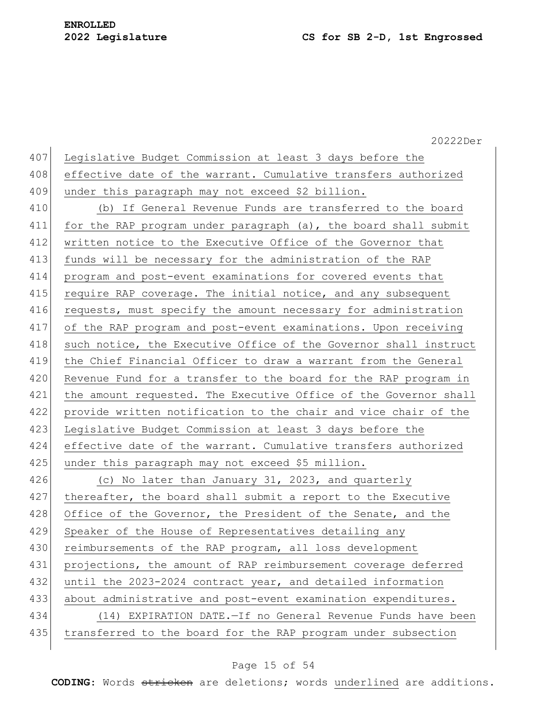20222Der 407 Legislative Budget Commission at least 3 days before the 408 effective date of the warrant. Cumulative transfers authorized 409 under this paragraph may not exceed \$2 billion. 410 (b) If General Revenue Funds are transferred to the board 411 for the RAP program under paragraph (a), the board shall submit 412 written notice to the Executive Office of the Governor that 413 funds will be necessary for the administration of the RAP 414 program and post-event examinations for covered events that 415 require RAP coverage. The initial notice, and any subsequent 416 requests, must specify the amount necessary for administration 417 of the RAP program and post-event examinations. Upon receiving 418 such notice, the Executive Office of the Governor shall instruct 419 the Chief Financial Officer to draw a warrant from the General 420 Revenue Fund for a transfer to the board for the RAP program in 421 the amount requested. The Executive Office of the Governor shall 422 provide written notification to the chair and vice chair of the 423 Legislative Budget Commission at least 3 days before the 424 effective date of the warrant. Cumulative transfers authorized 425 under this paragraph may not exceed \$5 million. 426 (c) No later than January 31, 2023, and quarterly 427 thereafter, the board shall submit a report to the Executive 428 Office of the Governor, the President of the Senate, and the 429 Speaker of the House of Representatives detailing any 430 reimbursements of the RAP program, all loss development 431 projections, the amount of RAP reimbursement coverage deferred 432 until the 2023-2024 contract year, and detailed information 433 about administrative and post-event examination expenditures. 434 (14) EXPIRATION DATE.—If no General Revenue Funds have been 435 | transferred to the board for the RAP program under subsection

#### Page 15 of 54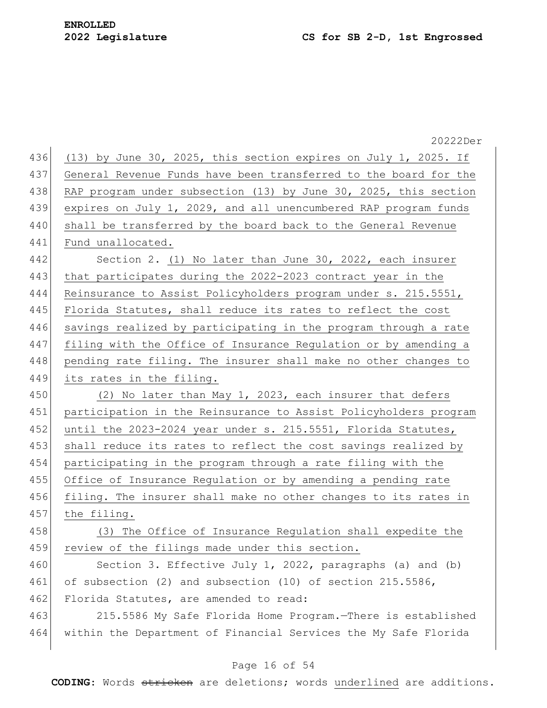20222Der 436 (13) by June 30, 2025, this section expires on July 1, 2025. If 437 General Revenue Funds have been transferred to the board for the 438 RAP program under subsection (13) by June 30, 2025, this section 439 expires on July 1, 2029, and all unencumbered RAP program funds 440 shall be transferred by the board back to the General Revenue 441 Fund unallocated. 442 Section 2. (1) No later than June 30, 2022, each insurer 443 that participates during the 2022-2023 contract year in the 444 Reinsurance to Assist Policyholders program under s. 215.5551, 445 Florida Statutes, shall reduce its rates to reflect the cost 446 savings realized by participating in the program through a rate 447 filing with the Office of Insurance Regulation or by amending a 448 pending rate filing. The insurer shall make no other changes to 449 its rates in the filing. 450 (2) No later than May 1, 2023, each insurer that defers 451 participation in the Reinsurance to Assist Policyholders program 452 until the 2023-2024 year under s. 215.5551, Florida Statutes, 453 shall reduce its rates to reflect the cost savings realized by 454 participating in the program through a rate filing with the 455 Office of Insurance Regulation or by amending a pending rate 456 filing. The insurer shall make no other changes to its rates in 457 the filing. 458 (3) The Office of Insurance Regulation shall expedite the 459 review of the filings made under this section. 460 Section 3. Effective July 1, 2022, paragraphs (a) and (b) 461 of subsection (2) and subsection (10) of section 215.5586, 462 Florida Statutes, are amended to read: 463 215.5586 My Safe Florida Home Program.—There is established 464 within the Department of Financial Services the My Safe Florida

### Page 16 of 54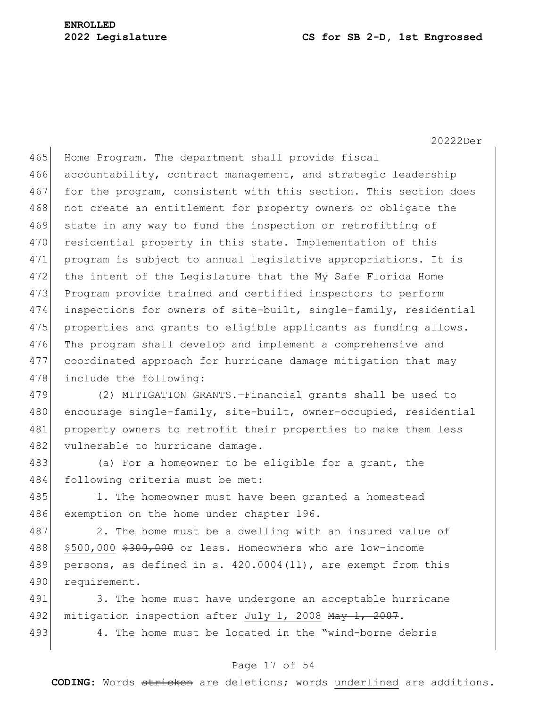465 Home Program. The department shall provide fiscal 466 accountability, contract management, and strategic leadership 467 for the program, consistent with this section. This section does 468 not create an entitlement for property owners or obligate the 469 state in any way to fund the inspection or retrofitting of 470 residential property in this state. Implementation of this 471 program is subject to annual legislative appropriations. It is 472 the intent of the Legislature that the My Safe Florida Home 473 Program provide trained and certified inspectors to perform 474 inspections for owners of site-built, single-family, residential 475 properties and grants to eligible applicants as funding allows. 476 The program shall develop and implement a comprehensive and 477 coordinated approach for hurricane damage mitigation that may 478 include the following:

479 (2) MITIGATION GRANTS.—Financial grants shall be used to 480 encourage single-family, site-built, owner-occupied, residential 481 property owners to retrofit their properties to make them less 482 vulnerable to hurricane damage.

483 (a) For a homeowner to be eligible for a grant, the 484 following criteria must be met:

485 1. The homeowner must have been granted a homestead 486 exemption on the home under chapter 196.

487 2. The home must be a dwelling with an insured value of 488 \$500,000 \$300,000 or less. Homeowners who are low-income 489 persons, as defined in s. 420.0004(11), are exempt from this 490 requirement.

491 3. The home must have undergone an acceptable hurricane 492 mitigation inspection after July 1, 2008  $\text{May } 1, 2007$ . 493 4. The home must be located in the "wind-borne debris"

### Page 17 of 54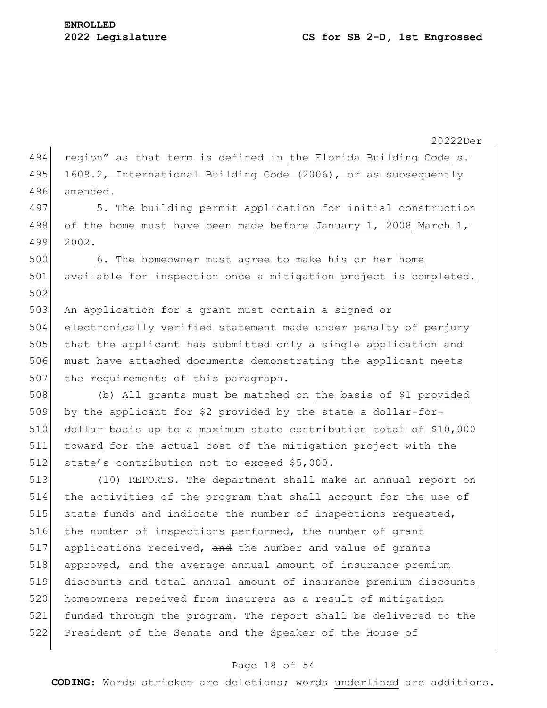20222Der 494 region" as that term is defined in the Florida Building Code  $\sigma$ . 495 1609.2, International Building Code (2006), or as subsequently  $496$  amended. 497 5. The building permit application for initial construction 498 of the home must have been made before January 1, 2008 March  $1,$ 499 2002. 500 6. The homeowner must agree to make his or her home 501 available for inspection once a mitigation project is completed. 502 503 An application for a grant must contain a signed or 504 electronically verified statement made under penalty of perjury 505 that the applicant has submitted only a single application and 506 must have attached documents demonstrating the applicant meets 507 the requirements of this paragraph. 508 (b) All grants must be matched on the basis of \$1 provided 509 by the applicant for \$2 provided by the state a dollar-for-510 dollar basis up to a maximum state contribution total of \$10,000  $511$  toward  $f$ or the actual cost of the mitigation project with the 512 state's contribution not to exceed \$5,000. 513 (10) REPORTS.—The department shall make an annual report on 514 the activities of the program that shall account for the use of 515 state funds and indicate the number of inspections requested, 516 the number of inspections performed, the number of grant 517 applications received, and the number and value of grants 518 approved, and the average annual amount of insurance premium 519 discounts and total annual amount of insurance premium discounts 520 homeowners received from insurers as a result of mitigation 521 funded through the program. The report shall be delivered to the 522 President of the Senate and the Speaker of the House of

### Page 18 of 54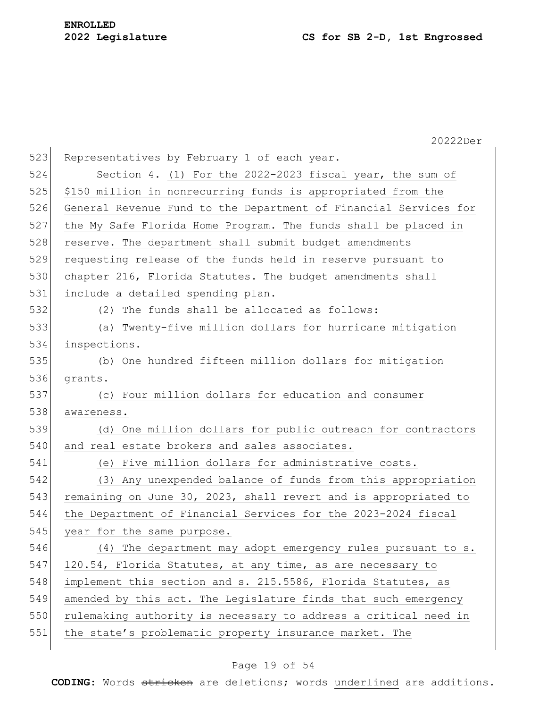|     | 20222Der                                                         |
|-----|------------------------------------------------------------------|
| 523 | Representatives by February 1 of each year.                      |
| 524 | Section 4. (1) For the 2022-2023 fiscal year, the sum of         |
| 525 | \$150 million in nonrecurring funds is appropriated from the     |
| 526 | General Revenue Fund to the Department of Financial Services for |
| 527 | the My Safe Florida Home Program. The funds shall be placed in   |
| 528 | reserve. The department shall submit budget amendments           |
| 529 | requesting release of the funds held in reserve pursuant to      |
| 530 | chapter 216, Florida Statutes. The budget amendments shall       |
| 531 | include a detailed spending plan.                                |
| 532 | (2) The funds shall be allocated as follows:                     |
| 533 | (a) Twenty-five million dollars for hurricane mitigation         |
| 534 | inspections.                                                     |
| 535 | (b) One hundred fifteen million dollars for mitigation           |
| 536 | grants.                                                          |
| 537 | (c) Four million dollars for education and consumer              |
| 538 | awareness.                                                       |
| 539 | (d) One million dollars for public outreach for contractors      |
| 540 | and real estate brokers and sales associates.                    |
| 541 | (e) Five million dollars for administrative costs.               |
| 542 | (3) Any unexpended balance of funds from this appropriation      |
| 543 | remaining on June 30, 2023, shall revert and is appropriated to  |
| 544 | the Department of Financial Services for the 2023-2024 fiscal    |
| 545 | year for the same purpose.                                       |
| 546 | (4) The department may adopt emergency rules pursuant to s.      |
| 547 | 120.54, Florida Statutes, at any time, as are necessary to       |
| 548 | implement this section and s. 215.5586, Florida Statutes, as     |
| 549 | amended by this act. The Legislature finds that such emergency   |
| 550 | rulemaking authority is necessary to address a critical need in  |
| 551 | the state's problematic property insurance market. The           |
|     |                                                                  |

# Page 19 of 54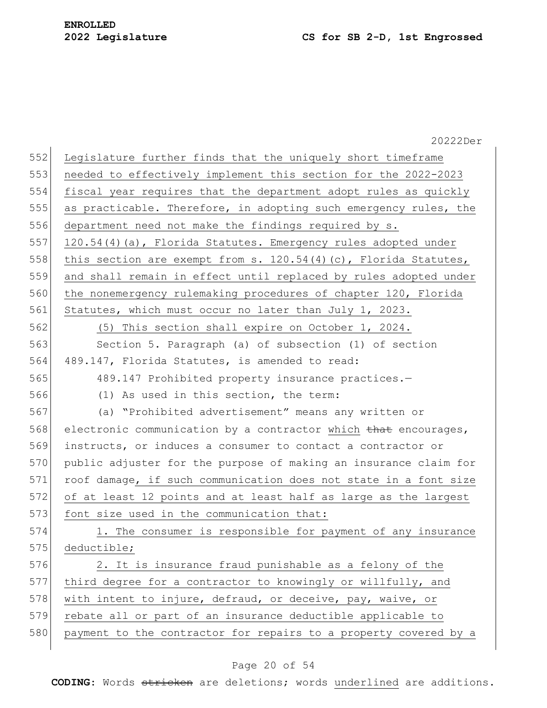|     | 20222Der                                                           |
|-----|--------------------------------------------------------------------|
| 552 | Legislature further finds that the uniquely short timeframe        |
| 553 | needed to effectively implement this section for the 2022-2023     |
| 554 | fiscal year requires that the department adopt rules as quickly    |
| 555 | as practicable. Therefore, in adopting such emergency rules, the   |
| 556 | department need not make the findings required by s.               |
| 557 | 120.54(4)(a), Florida Statutes. Emergency rules adopted under      |
| 558 | this section are exempt from s. $120.54(4)(c)$ , Florida Statutes, |
| 559 | and shall remain in effect until replaced by rules adopted under   |
| 560 | the nonemergency rulemaking procedures of chapter 120, Florida     |
| 561 | Statutes, which must occur no later than July 1, 2023.             |
| 562 | (5) This section shall expire on October 1, 2024.                  |
| 563 | Section 5. Paragraph (a) of subsection (1) of section              |
| 564 | 489.147, Florida Statutes, is amended to read:                     |
| 565 | 489.147 Prohibited property insurance practices.-                  |
| 566 | (1) As used in this section, the term:                             |
| 567 | (a) "Prohibited advertisement" means any written or                |
| 568 | electronic communication by a contractor which that encourages,    |
| 569 | instructs, or induces a consumer to contact a contractor or        |
| 570 | public adjuster for the purpose of making an insurance claim for   |
| 571 | roof damage, if such communication does not state in a font size   |
| 572 | of at least 12 points and at least half as large as the largest    |
| 573 | font size used in the communication that:                          |
| 574 | 1. The consumer is responsible for payment of any insurance        |
| 575 | deductible;                                                        |
| 576 | 2. It is insurance fraud punishable as a felony of the             |
| 577 | third degree for a contractor to knowingly or willfully, and       |
| 578 | with intent to injure, defraud, or deceive, pay, waive, or         |
| 579 | rebate all or part of an insurance deductible applicable to        |
| 580 | payment to the contractor for repairs to a property covered by a   |

# Page 20 of 54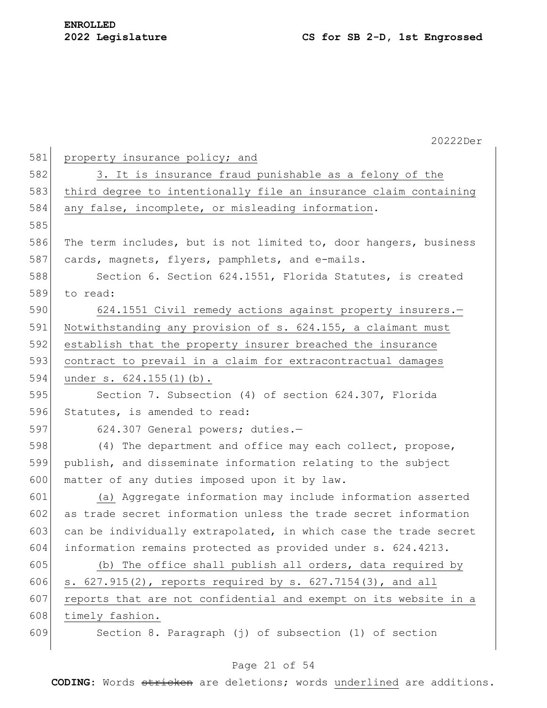|     | 20222Der                                                         |
|-----|------------------------------------------------------------------|
| 581 | property insurance policy; and                                   |
| 582 | 3. It is insurance fraud punishable as a felony of the           |
| 583 | third degree to intentionally file an insurance claim containing |
| 584 | any false, incomplete, or misleading information.                |
| 585 |                                                                  |
| 586 | The term includes, but is not limited to, door hangers, business |
| 587 | cards, magnets, flyers, pamphlets, and e-mails.                  |
| 588 | Section 6. Section 624.1551, Florida Statutes, is created        |
| 589 | to read:                                                         |
| 590 | 624.1551 Civil remedy actions against property insurers.-        |
| 591 | Notwithstanding any provision of s. 624.155, a claimant must     |
| 592 | establish that the property insurer breached the insurance       |
| 593 | contract to prevail in a claim for extracontractual damages      |
| 594 | under s. 624.155(1)(b).                                          |
| 595 | Section 7. Subsection (4) of section 624.307, Florida            |
| 596 | Statutes, is amended to read:                                    |
| 597 | 624.307 General powers; duties.-                                 |
| 598 | (4) The department and office may each collect, propose,         |
| 599 | publish, and disseminate information relating to the subject     |
| 600 | matter of any duties imposed upon it by law.                     |
| 601 | (a) Aggregate information may include information asserted       |
| 602 | as trade secret information unless the trade secret information  |
| 603 | can be individually extrapolated, in which case the trade secret |
| 604 | information remains protected as provided under s. 624.4213.     |
| 605 | (b) The office shall publish all orders, data required by        |
| 606 | s. 627.915(2), reports required by s. 627.7154(3), and all       |
| 607 | reports that are not confidential and exempt on its website in a |
| 608 | timely fashion.                                                  |
| 609 | Section 8. Paragraph (j) of subsection (1) of section            |

# Page 21 of 54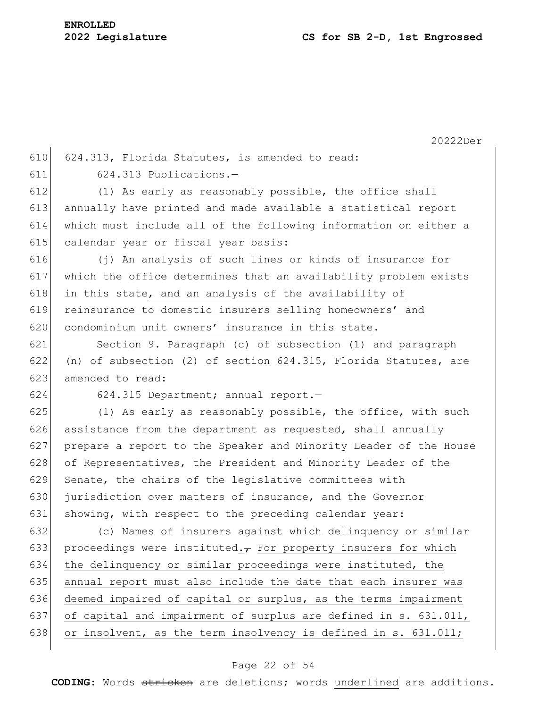|     | 20222Der                                                            |
|-----|---------------------------------------------------------------------|
| 610 | 624.313, Florida Statutes, is amended to read:                      |
| 611 | 624.313 Publications.-                                              |
| 612 | (1) As early as reasonably possible, the office shall               |
| 613 | annually have printed and made available a statistical report       |
| 614 | which must include all of the following information on either a     |
| 615 | calendar year or fiscal year basis:                                 |
| 616 | (j) An analysis of such lines or kinds of insurance for             |
| 617 | which the office determines that an availability problem exists     |
| 618 | in this state, and an analysis of the availability of               |
| 619 | reinsurance to domestic insurers selling homeowners' and            |
| 620 | condominium unit owners' insurance in this state.                   |
| 621 | Section 9. Paragraph (c) of subsection (1) and paragraph            |
| 622 | (n) of subsection (2) of section $624.315$ , Florida Statutes, are  |
| 623 | amended to read:                                                    |
| 624 | 624.315 Department; annual report.-                                 |
| 625 | (1) As early as reasonably possible, the office, with such          |
| 626 | assistance from the department as requested, shall annually         |
| 627 | prepare a report to the Speaker and Minority Leader of the House    |
| 628 | of Representatives, the President and Minority Leader of the        |
| 629 | Senate, the chairs of the legislative committees with               |
| 630 | jurisdiction over matters of insurance, and the Governor            |
| 631 | showing, with respect to the preceding calendar year:               |
| 632 | (c) Names of insurers against which delinquency or similar          |
| 633 | proceedings were instituted. $\tau$ For property insurers for which |
| 634 | the delinquency or similar proceedings were instituted, the         |
| 635 | annual report must also include the date that each insurer was      |
| 636 | deemed impaired of capital or surplus, as the terms impairment      |
| 637 | of capital and impairment of surplus are defined in s. 631.011,     |
| 638 | or insolvent, as the term insolvency is defined in s. 631.011;      |
|     |                                                                     |

# Page 22 of 54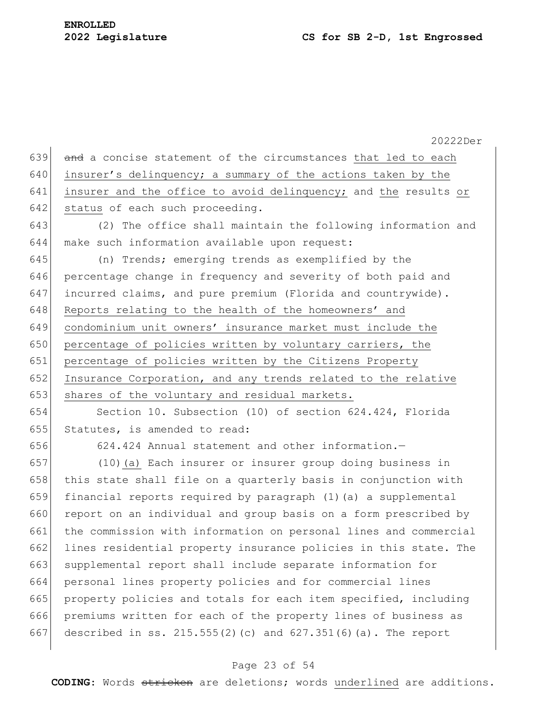20222Der and a concise statement of the circumstances that led to each insurer's delinquency; a summary of the actions taken by the 641 insurer and the office to avoid delinquency; and the results or 642 status of each such proceeding. (2) The office shall maintain the following information and make such information available upon request: (n) Trends; emerging trends as exemplified by the 646 percentage change in frequency and severity of both paid and incurred claims, and pure premium (Florida and countrywide). 648 Reports relating to the health of the homeowners' and condominium unit owners' insurance market must include the 650 percentage of policies written by voluntary carriers, the percentage of policies written by the Citizens Property Insurance Corporation, and any trends related to the relative 653 shares of the voluntary and residual markets. Section 10. Subsection (10) of section 624.424, Florida Statutes, is amended to read: 624.424 Annual statement and other information.— (10)(a) Each insurer or insurer group doing business in 658 this state shall file on a quarterly basis in conjunction with financial reports required by paragraph (1)(a) a supplemental 660 report on an individual and group basis on a form prescribed by the commission with information on personal lines and commercial lines residential property insurance policies in this state. The supplemental report shall include separate information for personal lines property policies and for commercial lines property policies and totals for each item specified, including premiums written for each of the property lines of business as described in ss. 215.555(2)(c) and 627.351(6)(a). The report

#### Page 23 of 54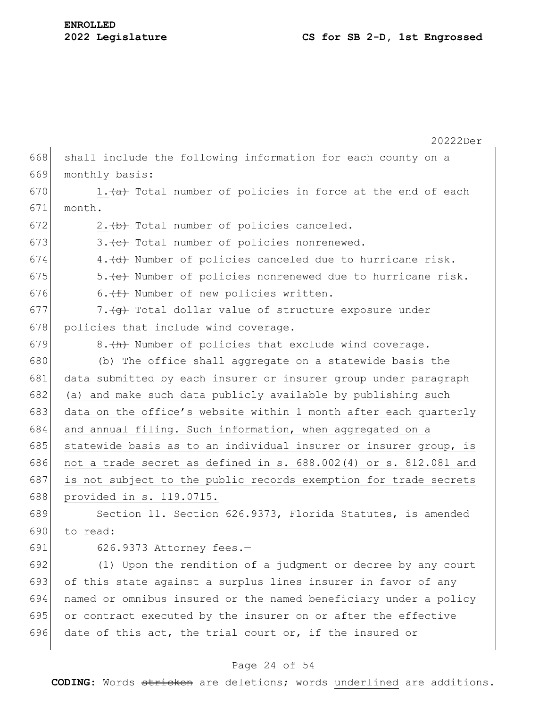|     | 20222Der                                                         |
|-----|------------------------------------------------------------------|
| 668 | shall include the following information for each county on a     |
| 669 | monthly basis:                                                   |
| 670 | 1. (a) Total number of policies in force at the end of each      |
| 671 | month.                                                           |
| 672 | 2. (b) Total number of policies canceled.                        |
| 673 | 3. (e) Total number of policies nonrenewed.                      |
| 674 | 4. (d) Number of policies canceled due to hurricane risk.        |
| 675 | 5. (e) Number of policies nonrenewed due to hurricane risk.      |
| 676 | 6. (f) Number of new policies written.                           |
| 677 | 7. (g) Total dollar value of structure exposure under            |
| 678 | policies that include wind coverage.                             |
| 679 | 8. (h) Number of policies that exclude wind coverage.            |
| 680 | (b) The office shall aggregate on a statewide basis the          |
| 681 | data submitted by each insurer or insurer group under paragraph  |
| 682 | (a) and make such data publicly available by publishing such     |
| 683 | data on the office's website within 1 month after each quarterly |
| 684 | and annual filing. Such information, when aggregated on a        |
| 685 | statewide basis as to an individual insurer or insurer group, is |
| 686 | not a trade secret as defined in s. 688.002(4) or s. 812.081 and |
| 687 | is not subject to the public records exemption for trade secrets |
| 688 | provided in s. 119.0715.                                         |
| 689 | Section 11. Section 626.9373, Florida Statutes, is amended       |
| 690 | to read:                                                         |
| 691 | 626.9373 Attorney fees.-                                         |
| 692 | (1) Upon the rendition of a judgment or decree by any court      |
| 693 | of this state against a surplus lines insurer in favor of any    |
| 694 | named or omnibus insured or the named beneficiary under a policy |
| 695 | or contract executed by the insurer on or after the effective    |
| 696 | date of this act, the trial court or, if the insured or          |
|     |                                                                  |

# Page 24 of 54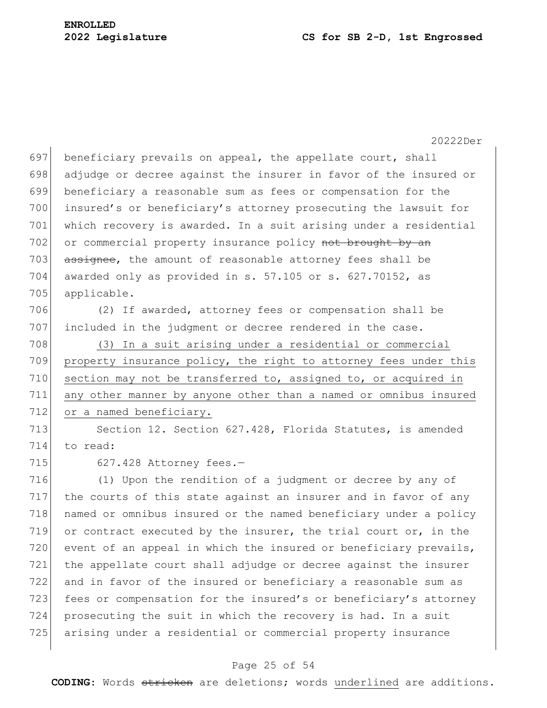20222Der 697 beneficiary prevails on appeal, the appellate court, shall 698 adjudge or decree against the insurer in favor of the insured or 699 beneficiary a reasonable sum as fees or compensation for the 700 insured's or beneficiary's attorney prosecuting the lawsuit for 701 which recovery is awarded. In a suit arising under a residential 702 or commercial property insurance policy not brought by an 703 assignee, the amount of reasonable attorney fees shall be 704 awarded only as provided in s. 57.105 or s.  $627.70152$ , as 705 applicable. 706 (2) If awarded, attorney fees or compensation shall be 707 included in the judgment or decree rendered in the case. 708 (3) In a suit arising under a residential or commercial 709 property insurance policy, the right to attorney fees under this 710 section may not be transferred to, assigned to, or acquired in 711 any other manner by anyone other than a named or omnibus insured 712 or a named beneficiary. 713 Section 12. Section 627.428, Florida Statutes, is amended 714 to read: 715 627.428 Attorney fees.-716 (1) Upon the rendition of a judgment or decree by any of 717 the courts of this state against an insurer and in favor of any 718 named or omnibus insured or the named beneficiary under a policy 719 or contract executed by the insurer, the trial court or, in the 720 event of an appeal in which the insured or beneficiary prevails, 721 the appellate court shall adjudge or decree against the insurer 722 and in favor of the insured or beneficiary a reasonable sum as 723 fees or compensation for the insured's or beneficiary's attorney 724 prosecuting the suit in which the recovery is had. In a suit 725 arising under a residential or commercial property insurance

### Page 25 of 54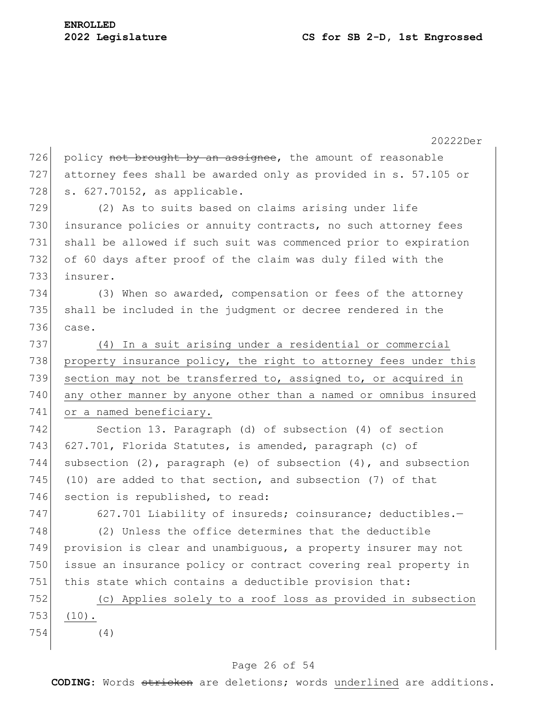20222Der 726 policy not brought by an assignee, the amount of reasonable 727 attorney fees shall be awarded only as provided in s. 57.105 or 728 s. 627.70152, as applicable. 729 (2) As to suits based on claims arising under life 730 insurance policies or annuity contracts, no such attorney fees 731 shall be allowed if such suit was commenced prior to expiration 732 of 60 days after proof of the claim was duly filed with the 733 insurer. 734 (3) When so awarded, compensation or fees of the attorney 735 shall be included in the judgment or decree rendered in the 736 case. 737 (4) In a suit arising under a residential or commercial 738 property insurance policy, the right to attorney fees under this 739 section may not be transferred to, assigned to, or acquired in 740 any other manner by anyone other than a named or omnibus insured 741 or a named beneficiary. 742 Section 13. Paragraph (d) of subsection (4) of section 743 627.701, Florida Statutes, is amended, paragraph (c) of 744 subsection (2), paragraph (e) of subsection  $(4)$ , and subsection 745 (10) are added to that section, and subsection (7) of that 746 section is republished, to read: 747 627.701 Liability of insureds; coinsurance; deductibles.-748 (2) Unless the office determines that the deductible 749 provision is clear and unambiguous, a property insurer may not 750 issue an insurance policy or contract covering real property in 751 this state which contains a deductible provision that: 752 (c) Applies solely to a roof loss as provided in subsection 753 (10). 754 (4)

### Page 26 of 54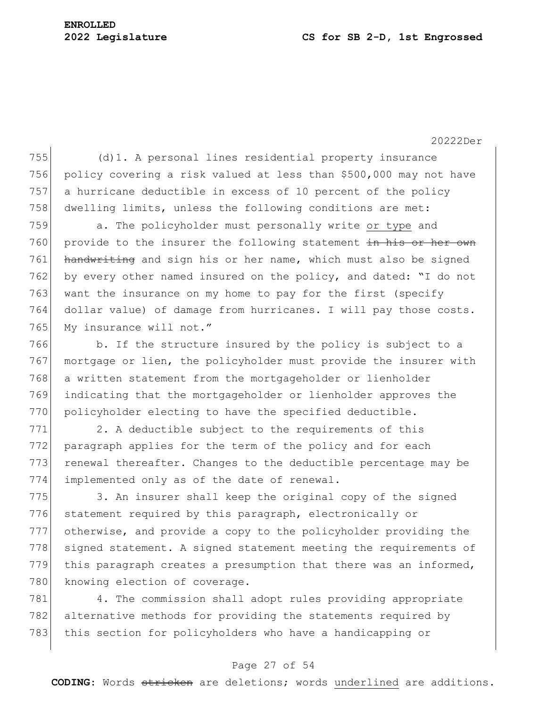# **ENROLLED**

#### **2022 Legislature CS for SB 2-D, 1st Engrossed**

20222Der

 (d)1. A personal lines residential property insurance policy covering a risk valued at less than \$500,000 may not have a hurricane deductible in excess of 10 percent of the policy dwelling limits, unless the following conditions are met:

759 a. The policyholder must personally write or type and 760 provide to the insurer the following statement in his or her own 761 handwriting and sign his or her name, which must also be signed 762 by every other named insured on the policy, and dated: "I do not 763 want the insurance on my home to pay for the first (specify 764 dollar value) of damage from hurricanes. I will pay those costs. 765 My insurance will not."

766 b. If the structure insured by the policy is subject to a 767 mortgage or lien, the policyholder must provide the insurer with 768 a written statement from the mortgageholder or lienholder 769 indicating that the mortgageholder or lienholder approves the 770 policyholder electing to have the specified deductible.

771 2. A deductible subject to the requirements of this 772 paragraph applies for the term of the policy and for each 773 renewal thereafter. Changes to the deductible percentage may be 774 implemented only as of the date of renewal.

775 3. An insurer shall keep the original copy of the signed 776 statement required by this paragraph, electronically or 777 otherwise, and provide a copy to the policyholder providing the 778 signed statement. A signed statement meeting the requirements of 779 this paragraph creates a presumption that there was an informed, 780 knowing election of coverage.

781 4. The commission shall adopt rules providing appropriate 782 alternative methods for providing the statements required by 783 this section for policyholders who have a handicapping or

### Page 27 of 54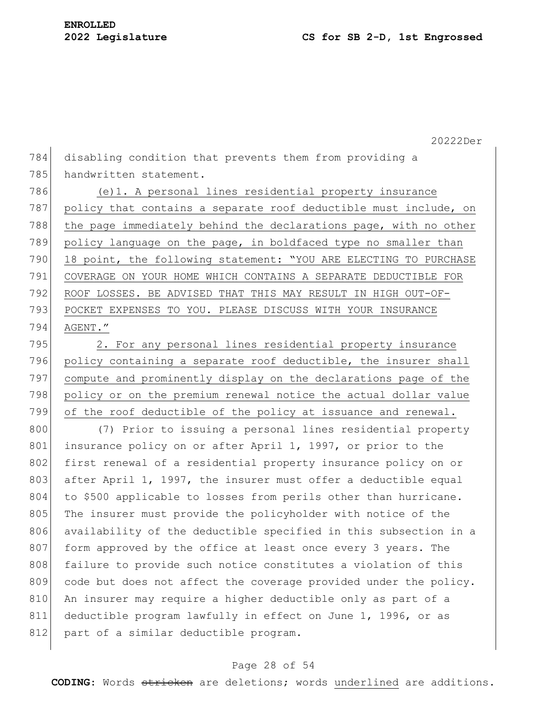784 disabling condition that prevents them from providing a 785 handwritten statement.

786 (e)1. A personal lines residential property insurance 787 policy that contains a separate roof deductible must include, on 788 the page immediately behind the declarations page, with no other 789 policy language on the page, in boldfaced type no smaller than 790 18 point, the following statement: "YOU ARE ELECTING TO PURCHASE 791 COVERAGE ON YOUR HOME WHICH CONTAINS A SEPARATE DEDUCTIBLE FOR 792 ROOF LOSSES. BE ADVISED THAT THIS MAY RESULT IN HIGH OUT-OF-793 POCKET EXPENSES TO YOU. PLEASE DISCUSS WITH YOUR INSURANCE 794 AGENT."

795 2. For any personal lines residential property insurance 796 policy containing a separate roof deductible, the insurer shall 797 compute and prominently display on the declarations page of the 798 policy or on the premium renewal notice the actual dollar value 799 of the roof deductible of the policy at issuance and renewal.

800 (7) Prior to issuing a personal lines residential property 801 insurance policy on or after April 1, 1997, or prior to the 802 first renewal of a residential property insurance policy on or 803 after April 1, 1997, the insurer must offer a deductible equal 804 to \$500 applicable to losses from perils other than hurricane. 805 The insurer must provide the policyholder with notice of the 806 availability of the deductible specified in this subsection in a 807 form approved by the office at least once every 3 years. The 808 failure to provide such notice constitutes a violation of this 809 code but does not affect the coverage provided under the policy. 810 An insurer may require a higher deductible only as part of a 811 deductible program lawfully in effect on June 1, 1996, or as 812 part of a similar deductible program.

### Page 28 of 54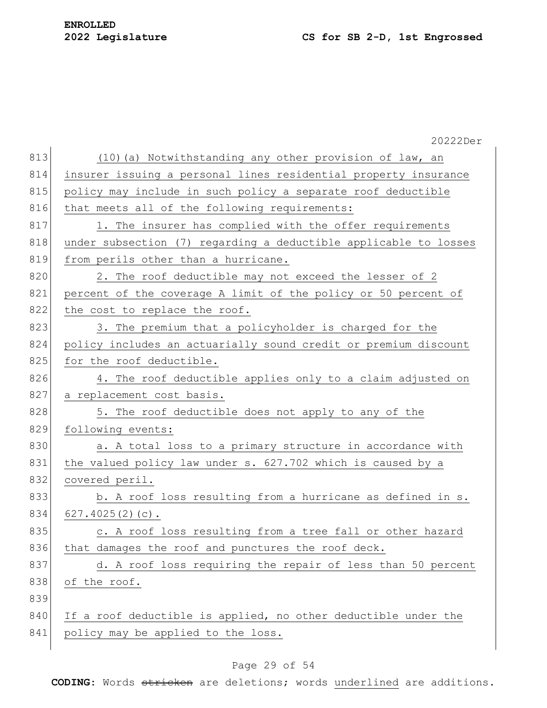|     | 20222Der                                                         |
|-----|------------------------------------------------------------------|
| 813 | (10) (a) Notwithstanding any other provision of law, an          |
| 814 | insurer issuing a personal lines residential property insurance  |
| 815 | policy may include in such policy a separate roof deductible     |
| 816 | that meets all of the following requirements:                    |
| 817 | 1. The insurer has complied with the offer requirements          |
| 818 | under subsection (7) regarding a deductible applicable to losses |
| 819 | from perils other than a hurricane.                              |
| 820 | 2. The roof deductible may not exceed the lesser of 2            |
| 821 | percent of the coverage A limit of the policy or 50 percent of   |
| 822 | the cost to replace the roof.                                    |
| 823 | 3. The premium that a policyholder is charged for the            |
| 824 | policy includes an actuarially sound credit or premium discount  |
| 825 | for the roof deductible.                                         |
| 826 | 4. The roof deductible applies only to a claim adjusted on       |
| 827 | a replacement cost basis.                                        |
| 828 | 5. The roof deductible does not apply to any of the              |
| 829 | following events:                                                |
| 830 | a. A total loss to a primary structure in accordance with        |
| 831 | the valued policy law under s. 627.702 which is caused by a      |
| 832 | covered peril.                                                   |
| 833 | b. A roof loss resulting from a hurricane as defined in s.       |
| 834 | $627.4025(2)(c)$ .                                               |
| 835 | c. A roof loss resulting from a tree fall or other hazard        |
| 836 | that damages the roof and punctures the roof deck.               |
| 837 | d. A roof loss requiring the repair of less than 50 percent      |
| 838 | of the roof.                                                     |
| 839 |                                                                  |
| 840 | If a roof deductible is applied, no other deductible under the   |
| 841 | policy may be applied to the loss.                               |
|     |                                                                  |

# Page 29 of 54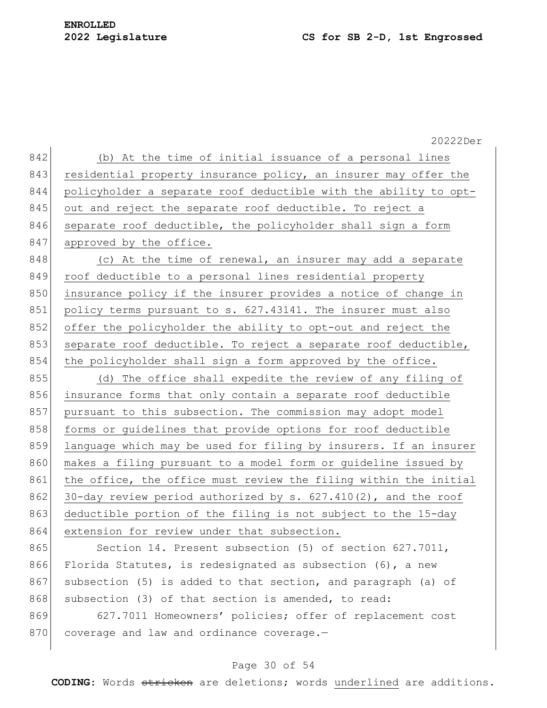# **ENROLLED**

#### **2022 Legislature CS for SB 2-D, 1st Engrossed**

20222Der 842 (b) At the time of initial issuance of a personal lines 843 residential property insurance policy, an insurer may offer the 844 policyholder a separate roof deductible with the ability to opt-845 out and reject the separate roof deductible. To reject a 846 separate roof deductible, the policyholder shall sign a form 847 approved by the office. 848 (c) At the time of renewal, an insurer may add a separate 849 roof deductible to a personal lines residential property 850 insurance policy if the insurer provides a notice of change in 851 policy terms pursuant to s. 627.43141. The insurer must also 852 offer the policyholder the ability to opt-out and reject the 853 separate roof deductible. To reject a separate roof deductible, 854 the policyholder shall sign a form approved by the office. 855 (d) The office shall expedite the review of any filing of 856 insurance forms that only contain a separate roof deductible 857 pursuant to this subsection. The commission may adopt model 858 forms or guidelines that provide options for roof deductible 859 language which may be used for filing by insurers. If an insurer 860 makes a filing pursuant to a model form or quideline issued by 861 the office, the office must review the filing within the initial 862 30-day review period authorized by s.  $627.410(2)$ , and the roof 863 deductible portion of the filing is not subject to the 15-day 864 extension for review under that subsection. 865 Section 14. Present subsection (5) of section 627.7011, 866 Florida Statutes, is redesignated as subsection (6), a new 867 subsection (5) is added to that section, and paragraph (a) of 868 subsection (3) of that section is amended, to read: 869 627.7011 Homeowners' policies; offer of replacement cost 870 coverage and law and ordinance coverage.-

### Page 30 of 54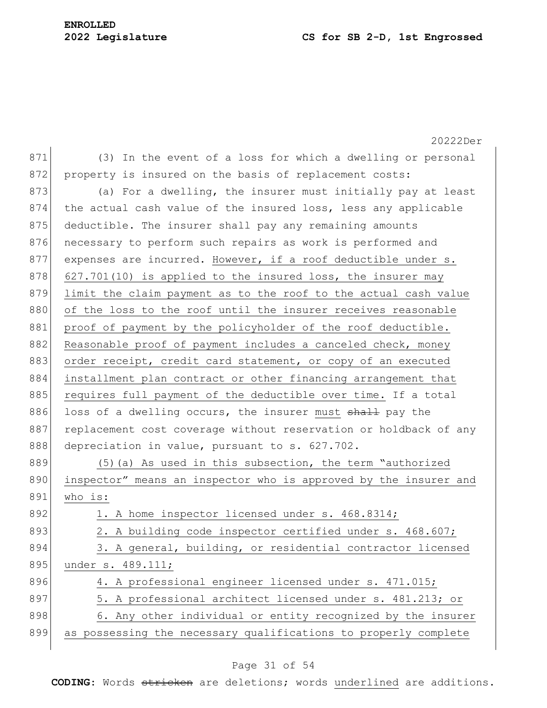# **ENROLLED**

## **2022 Legislature CS for SB 2-D, 1st Engrossed**

|     | 20222Der                                                         |
|-----|------------------------------------------------------------------|
| 871 | (3) In the event of a loss for which a dwelling or personal      |
| 872 | property is insured on the basis of replacement costs:           |
| 873 | (a) For a dwelling, the insurer must initially pay at least      |
| 874 | the actual cash value of the insured loss, less any applicable   |
| 875 | deductible. The insurer shall pay any remaining amounts          |
| 876 | necessary to perform such repairs as work is performed and       |
| 877 | expenses are incurred. However, if a roof deductible under s.    |
| 878 | 627.701(10) is applied to the insured loss, the insurer may      |
| 879 | limit the claim payment as to the roof to the actual cash value  |
| 880 | of the loss to the roof until the insurer receives reasonable    |
| 881 | proof of payment by the policyholder of the roof deductible.     |
| 882 | Reasonable proof of payment includes a canceled check, money     |
| 883 | order receipt, credit card statement, or copy of an executed     |
| 884 | installment plan contract or other financing arrangement that    |
| 885 | requires full payment of the deductible over time. If a total    |
| 886 | loss of a dwelling occurs, the insurer must shall pay the        |
| 887 | replacement cost coverage without reservation or holdback of any |
| 888 | depreciation in value, pursuant to s. 627.702.                   |
| 889 | $(5)$ (a) As used in this subsection, the term "authorized       |
| 890 | inspector" means an inspector who is approved by the insurer and |
| 891 | who is:                                                          |
| 892 | 1. A home inspector licensed under s. 468.8314;                  |
| 893 | 2. A building code inspector certified under s. 468.607;         |
| 894 | 3. A general, building, or residential contractor licensed       |
| 895 | under s. 489.111;                                                |
| 896 | 4. A professional engineer licensed under s. 471.015;            |
| 897 | 5. A professional architect licensed under s. 481.213; or        |
| 898 | 6. Any other individual or entity recognized by the insurer      |
| 899 | as possessing the necessary qualifications to properly complete  |

# Page 31 of 54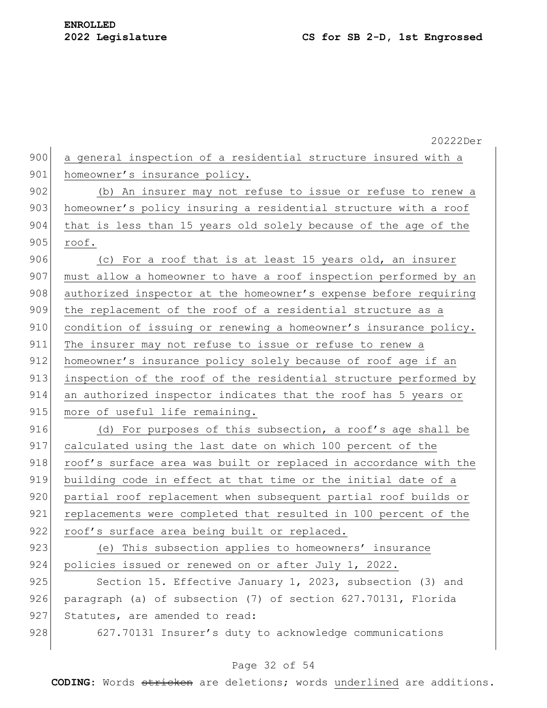|     | 20222Der                                                         |
|-----|------------------------------------------------------------------|
| 900 | a general inspection of a residential structure insured with a   |
| 901 | homeowner's insurance policy.                                    |
| 902 | (b) An insurer may not refuse to issue or refuse to renew a      |
| 903 | homeowner's policy insuring a residential structure with a roof  |
| 904 | that is less than 15 years old solely because of the age of the  |
| 905 | roof.                                                            |
| 906 | (c) For a roof that is at least 15 years old, an insurer         |
| 907 | must allow a homeowner to have a roof inspection performed by an |
| 908 | authorized inspector at the homeowner's expense before requiring |
| 909 | the replacement of the roof of a residential structure as a      |
| 910 | condition of issuing or renewing a homeowner's insurance policy. |
| 911 | The insurer may not refuse to issue or refuse to renew a         |
| 912 | homeowner's insurance policy solely because of roof age if an    |
| 913 | inspection of the roof of the residential structure performed by |
| 914 | an authorized inspector indicates that the roof has 5 years or   |
| 915 | more of useful life remaining.                                   |
| 916 | (d) For purposes of this subsection, a roof's age shall be       |
| 917 | calculated using the last date on which 100 percent of the       |
| 918 | roof's surface area was built or replaced in accordance with the |
| 919 | building code in effect at that time or the initial date of a    |
| 920 | partial roof replacement when subsequent partial roof builds or  |
| 921 | replacements were completed that resulted in 100 percent of the  |
| 922 | roof's surface area being built or replaced.                     |
| 923 | (e) This subsection applies to homeowners' insurance             |
| 924 | policies issued or renewed on or after July 1, 2022.             |
| 925 | Section 15. Effective January 1, 2023, subsection (3) and        |
| 926 | paragraph (a) of subsection (7) of section 627.70131, Florida    |
| 927 | Statutes, are amended to read:                                   |
| 928 | 627.70131 Insurer's duty to acknowledge communications           |
|     |                                                                  |

# Page 32 of 54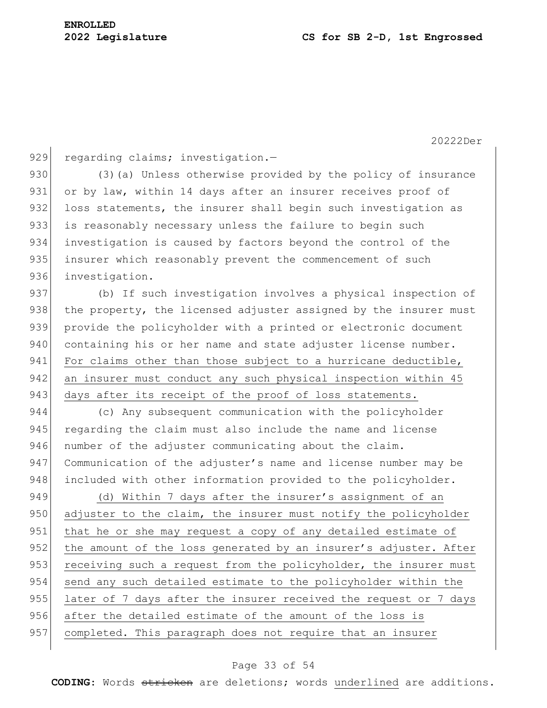929 regarding claims; investigation.-

930 (3)(a) Unless otherwise provided by the policy of insurance 931 or by law, within 14 days after an insurer receives proof of 932 loss statements, the insurer shall begin such investigation as 933 is reasonably necessary unless the failure to begin such 934 investigation is caused by factors beyond the control of the 935 insurer which reasonably prevent the commencement of such 936 investigation.

937 (b) If such investigation involves a physical inspection of 938 the property, the licensed adjuster assigned by the insurer must 939 provide the policyholder with a printed or electronic document 940 containing his or her name and state adjuster license number. 941 For claims other than those subject to a hurricane deductible, 942 an insurer must conduct any such physical inspection within 45 943 days after its receipt of the proof of loss statements.

944 (c) Any subsequent communication with the policyholder 945 regarding the claim must also include the name and license 946 number of the adjuster communicating about the claim. 947 Communication of the adjuster's name and license number may be 948 included with other information provided to the policyholder.

949 (d) Within 7 days after the insurer's assignment of an 950 adjuster to the claim, the insurer must notify the policyholder 951 that he or she may request a copy of any detailed estimate of 952 the amount of the loss generated by an insurer's adjuster. After 953 receiving such a request from the policyholder, the insurer must 954 send any such detailed estimate to the policyholder within the 955 later of 7 days after the insurer received the request or 7 days 956 after the detailed estimate of the amount of the loss is 957 completed. This paragraph does not require that an insurer

### Page 33 of 54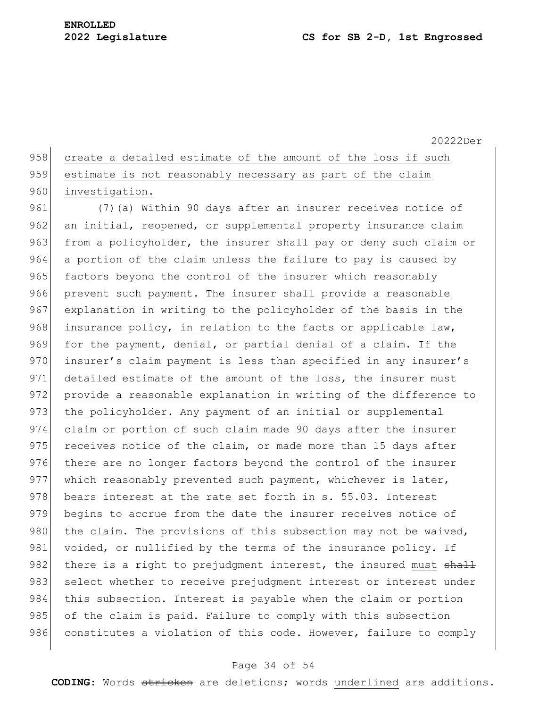| 958 create a detailed estimate of the amount of the loss if such |
|------------------------------------------------------------------|
| 959 estimate is not reasonably necessary as part of the claim    |
| 960 investigation.                                               |

961 (7) (a) Within 90 days after an insurer receives notice of 962 an initial, reopened, or supplemental property insurance claim 963 from a policyholder, the insurer shall pay or deny such claim or 964 a portion of the claim unless the failure to pay is caused by 965 factors beyond the control of the insurer which reasonably 966 prevent such payment. The insurer shall provide a reasonable 967 explanation in writing to the policyholder of the basis in the 968 insurance policy, in relation to the facts or applicable law, 969 for the payment, denial, or partial denial of a claim. If the 970 insurer's claim payment is less than specified in any insurer's 971 detailed estimate of the amount of the loss, the insurer must 972 provide a reasonable explanation in writing of the difference to 973 the policyholder. Any payment of an initial or supplemental 974 claim or portion of such claim made 90 days after the insurer 975 receives notice of the claim, or made more than 15 days after 976 there are no longer factors beyond the control of the insurer 977 which reasonably prevented such payment, whichever is later, 978 bears interest at the rate set forth in s. 55.03. Interest 979 begins to accrue from the date the insurer receives notice of 980 the claim. The provisions of this subsection may not be waived, 981 voided, or nullified by the terms of the insurance policy. If 982 there is a right to prejudgment interest, the insured must shall 983 select whether to receive prejudgment interest or interest under 984 this subsection. Interest is payable when the claim or portion 985 of the claim is paid. Failure to comply with this subsection 986 constitutes a violation of this code. However, failure to comply

#### Page 34 of 54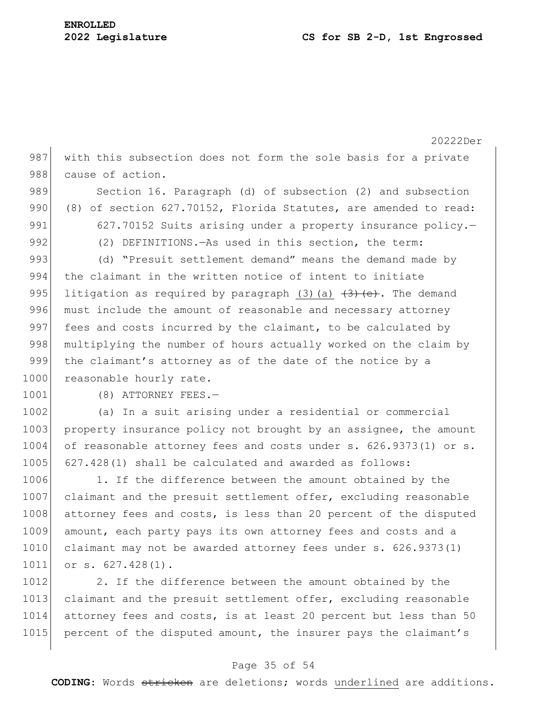20222Der 987 with this subsection does not form the sole basis for a private 988 cause of action. 989 Section 16. Paragraph (d) of subsection (2) and subsection 990 (8) of section 627.70152, Florida Statutes, are amended to read: 991 627.70152 Suits arising under a property insurance policy. 992 (2) DEFINITIONS. —As used in this section, the term: 993 (d) "Presuit settlement demand" means the demand made by 994 the claimant in the written notice of intent to initiate 995 litigation as required by paragraph (3)(a)  $\left(3\right)$  (e). The demand 996 must include the amount of reasonable and necessary attorney 997 fees and costs incurred by the claimant, to be calculated by 998 multiplying the number of hours actually worked on the claim by 999 the claimant's attorney as of the date of the notice by a 1000 reasonable hourly rate. 1001 (8) ATTORNEY FEES.-1002 (a) In a suit arising under a residential or commercial 1003 property insurance policy not brought by an assignee, the amount 1004 of reasonable attorney fees and costs under s. 626.9373(1) or s. 1005 627.428(1) shall be calculated and awarded as follows: 1006 1. If the difference between the amount obtained by the 1007 claimant and the presuit settlement offer, excluding reasonable 1008 attorney fees and costs, is less than 20 percent of the disputed 1009 amount, each party pays its own attorney fees and costs and a 1010 claimant may not be awarded attorney fees under s. 626.9373(1) 1011 or s. 627.428(1). 1012 2. If the difference between the amount obtained by the 1013 claimant and the presuit settlement offer, excluding reasonable 1014 attorney fees and costs, is at least 20 percent but less than 50

#### Page 35 of 54

1015 percent of the disputed amount, the insurer pays the claimant's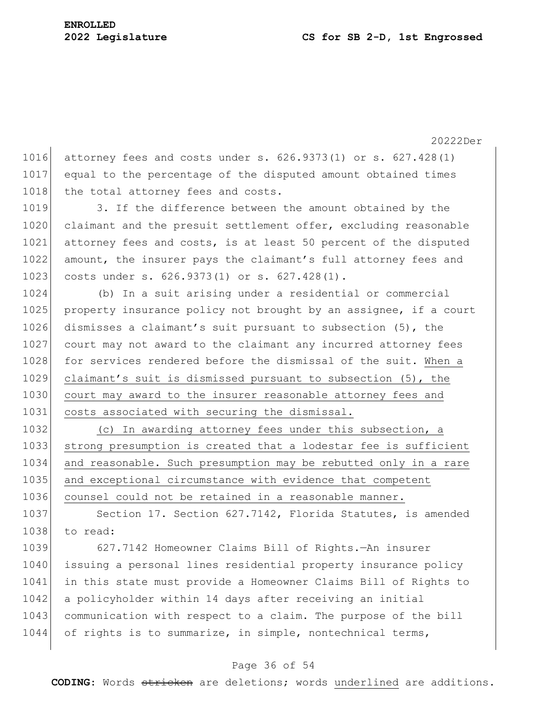1016 attorney fees and costs under s. 626.9373(1) or s. 627.428(1) 1017 equal to the percentage of the disputed amount obtained times 1018 | the total attorney fees and costs.

1019 3. If the difference between the amount obtained by the 1020 claimant and the presuit settlement offer, excluding reasonable 1021 attorney fees and costs, is at least 50 percent of the disputed 1022 amount, the insurer pays the claimant's full attorney fees and 1023 costs under s. 626.9373(1) or s. 627.428(1).

1024 (b) In a suit arising under a residential or commercial 1025 property insurance policy not brought by an assignee, if a court 1026 dismisses a claimant's suit pursuant to subsection (5), the 1027 court may not award to the claimant any incurred attorney fees 1028 for services rendered before the dismissal of the suit. When a 1029 claimant's suit is dismissed pursuant to subsection (5), the 1030 court may award to the insurer reasonable attorney fees and 1031 costs associated with securing the dismissal.

1032 (c) In awarding attorney fees under this subsection, a 1033 strong presumption is created that a lodestar fee is sufficient 1034 and reasonable. Such presumption may be rebutted only in a rare 1035 and exceptional circumstance with evidence that competent 1036 counsel could not be retained in a reasonable manner.

1037 Section 17. Section 627.7142, Florida Statutes, is amended 1038 to read:

1039 627.7142 Homeowner Claims Bill of Rights.—An insurer 1040 issuing a personal lines residential property insurance policy 1041 in this state must provide a Homeowner Claims Bill of Rights to 1042 a policyholder within 14 days after receiving an initial 1043 communication with respect to a claim. The purpose of the bill 1044 of rights is to summarize, in simple, nontechnical terms,

#### Page 36 of 54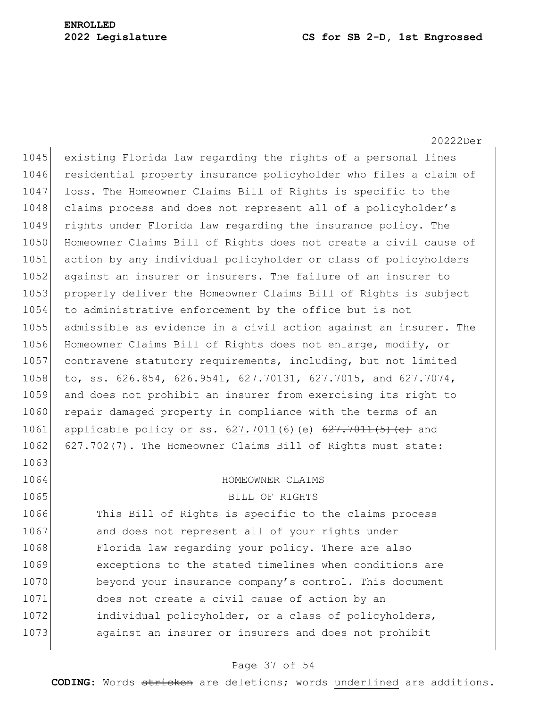20222Der

1045 existing Florida law regarding the rights of a personal lines 1046 residential property insurance policyholder who files a claim of 1047 loss. The Homeowner Claims Bill of Rights is specific to the 1048 claims process and does not represent all of a policyholder's 1049 rights under Florida law regarding the insurance policy. The 1050 Homeowner Claims Bill of Rights does not create a civil cause of 1051 action by any individual policyholder or class of policyholders 1052 against an insurer or insurers. The failure of an insurer to 1053 properly deliver the Homeowner Claims Bill of Rights is subject 1054 to administrative enforcement by the office but is not 1055 admissible as evidence in a civil action against an insurer. The 1056 Homeowner Claims Bill of Rights does not enlarge, modify, or 1057 contravene statutory requirements, including, but not limited 1058 to, ss. 626.854, 626.9541, 627.70131, 627.7015, and 627.7074, 1059 and does not prohibit an insurer from exercising its right to 1060 repair damaged property in compliance with the terms of an 1061 applicable policy or ss. 627.7011(6)(e)  $627.7011(5)$  (e) and 1062 627.702(7). The Homeowner Claims Bill of Rights must state: 1063

#### 1064 HOMEOWNER CLAIMS

1065 BILL OF RIGHTS

1066 This Bill of Rights is specific to the claims process 1067 and does not represent all of your rights under 1068 Florida law regarding your policy. There are also 1069 exceptions to the stated timelines when conditions are 1070 beyond your insurance company's control. This document 1071 does not create a civil cause of action by an 1072 individual policyholder, or a class of policyholders, 1073 against an insurer or insurers and does not prohibit

#### Page 37 of 54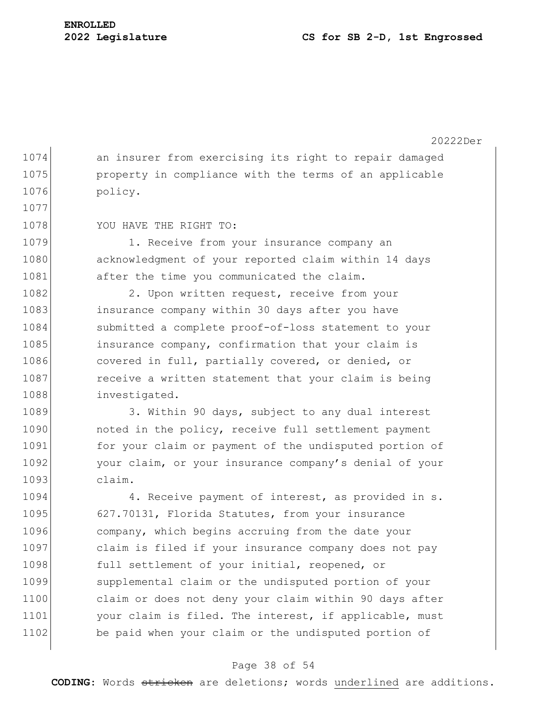1074 an insurer from exercising its right to repair damaged 1075 **property** in compliance with the terms of an applicable 1076 policy.

1078 YOU HAVE THE RIGHT TO:

1077

1079 1. Receive from your insurance company an 1080 acknowledgment of your reported claim within 14 days 1081 after the time you communicated the claim.

1082 2. Upon written request, receive from your 1083 insurance company within 30 days after you have 1084 submitted a complete proof-of-loss statement to your 1085 insurance company, confirmation that your claim is 1086 covered in full, partially covered, or denied, or 1087 receive a written statement that your claim is being 1088 investigated.

1089 3. Within 90 days, subject to any dual interest 1090 noted in the policy, receive full settlement payment 1091 for your claim or payment of the undisputed portion of 1092 your claim, or your insurance company's denial of your 1093 claim.

1094 4. Receive payment of interest, as provided in s. 1095 627.70131, Florida Statutes, from your insurance 1096 company, which begins accruing from the date your 1097 claim is filed if your insurance company does not pay 1098 full settlement of your initial, reopened, or 1099 supplemental claim or the undisputed portion of your 1100 claim or does not deny your claim within 90 days after 1101 your claim is filed. The interest, if applicable, must 1102 be paid when your claim or the undisputed portion of

#### Page 38 of 54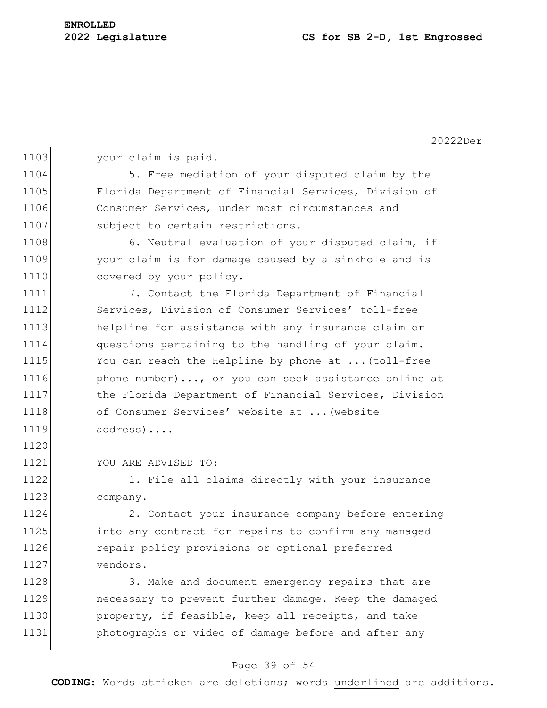20222Der

1103 your claim is paid.

1104 5. Free mediation of your disputed claim by the 1105 Florida Department of Financial Services, Division of 1106 Consumer Services, under most circumstances and 1107 subject to certain restrictions.

1108 6. Neutral evaluation of your disputed claim, if 1109 your claim is for damage caused by a sinkhole and is 1110 covered by your policy.

1111 7. Contact the Florida Department of Financial 1112 Services, Division of Consumer Services' toll-free 1113 helpline for assistance with any insurance claim or 1114 questions pertaining to the handling of your claim. 1115 You can reach the Helpline by phone at ... (toll-free 1116 **phone number)..., or you can seek assistance online at** 1117 the Florida Department of Financial Services, Division 1118 of Consumer Services' website at ... (website 1119 address)....

1121 YOU ARE ADVISED TO:

1120

1122 1. File all claims directly with your insurance 1123 company.

1124 2. Contact your insurance company before entering 1125 into any contract for repairs to confirm any managed 1126 **repair policy provisions or optional preferred** 1127 vendors.

1128 3. Make and document emergency repairs that are 1129 **necessary to prevent further damage.** Keep the damaged 1130 property, if feasible, keep all receipts, and take 1131 **budgee** photographs or video of damage before and after any

## Page 39 of 54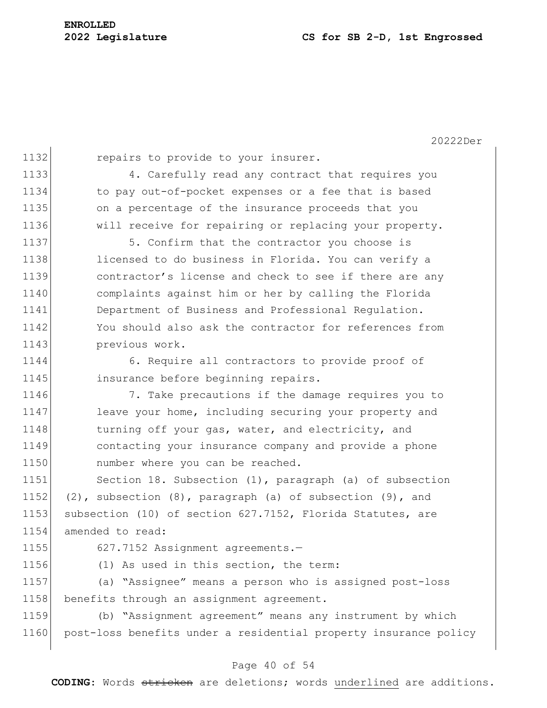1132 repairs to provide to your insurer.

 4. Carefully read any contract that requires you to pay out-of-pocket expenses or a fee that is based on a percentage of the insurance proceeds that you will receive for repairing or replacing your property.

1137 5. Confirm that the contractor you choose is 1138 licensed to do business in Florida. You can verify a 1139 contractor's license and check to see if there are any 1140 complaints against him or her by calling the Florida 1141 Department of Business and Professional Regulation. 1142 You should also ask the contractor for references from 1143 previous work.

1144 6. Require all contractors to provide proof of 1145 insurance before beginning repairs.

1146 7. Take precautions if the damage requires you to 1147 leave your home, including securing your property and 1148 turning off your gas, water, and electricity, and 1149 contacting your insurance company and provide a phone 1150 number where you can be reached.

1151 Section 18. Subsection (1), paragraph (a) of subsection 1152  $(2)$ , subsection  $(8)$ , paragraph  $(a)$  of subsection  $(9)$ , and 1153 subsection (10) of section 627.7152, Florida Statutes, are 1154 amended to read:

1155 627.7152 Assignment agreements.-

1156 (1) As used in this section, the term:

1157 (a) "Assignee" means a person who is assigned post-loss 1158 benefits through an assignment agreement.

1159 (b) "Assignment agreement" means any instrument by which 1160 post-loss benefits under a residential property insurance policy

#### Page 40 of 54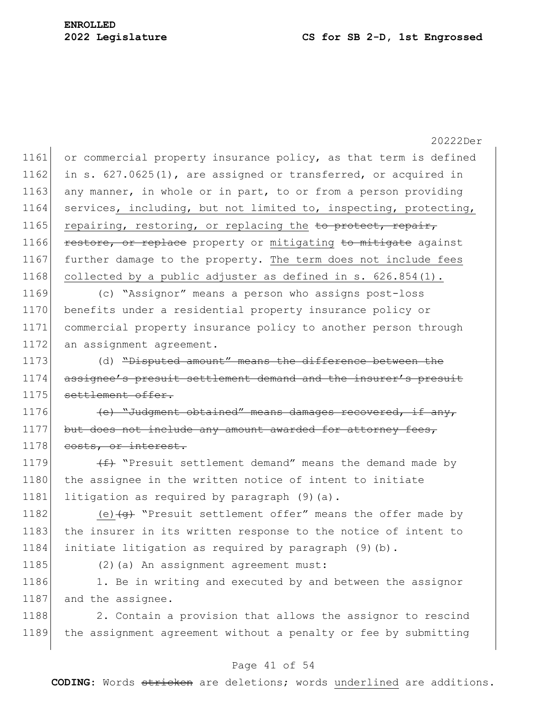|      | 20222Der                                                                |
|------|-------------------------------------------------------------------------|
| 1161 | or commercial property insurance policy, as that term is defined        |
| 1162 | in s. 627.0625(1), are assigned or transferred, or acquired in          |
| 1163 | any manner, in whole or in part, to or from a person providing          |
| 1164 | services, including, but not limited to, inspecting, protecting,        |
| 1165 | repairing, restoring, or replacing the to protect, repair,              |
| 1166 | restore, or replace property or mitigating to mitigate against          |
| 1167 | further damage to the property. The term does not include fees          |
| 1168 | collected by a public adjuster as defined in $s. 626.854(1)$ .          |
| 1169 | (c) "Assignor" means a person who assigns post-loss                     |
| 1170 | benefits under a residential property insurance policy or               |
| 1171 | commercial property insurance policy to another person through          |
| 1172 | an assignment agreement.                                                |
| 1173 | (d) "Disputed amount" means the difference between the                  |
| 1174 | assignee's presuit settlement demand and the insurer's presuit          |
| 1175 | settlement offer.                                                       |
| 1176 | (e) "Judgment obtained" means damages recovered, if any,                |
| 1177 | but does not include any amount awarded for attorney fees,              |
| 1178 | costs, or interest.                                                     |
| 1179 | $\overline{f}$ "Presuit settlement demand" means the demand made by     |
| 1180 | the assignee in the written notice of intent to initiate                |
| 1181 | litigation as required by paragraph (9) (a).                            |
| 1182 | (e) $\overline{(e)}$ "Presuit settlement offer" means the offer made by |
| 1183 | the insurer in its written response to the notice of intent to          |
| 1184 | initiate litigation as required by paragraph (9) (b).                   |
| 1185 | (2) (a) An assignment agreement must:                                   |
| 1186 | 1. Be in writing and executed by and between the assignor               |
| 1187 | and the assignee.                                                       |
| 1188 | 2. Contain a provision that allows the assignor to rescind              |
| 1189 | the assignment agreement without a penalty or fee by submitting         |
|      |                                                                         |

# Page 41 of 54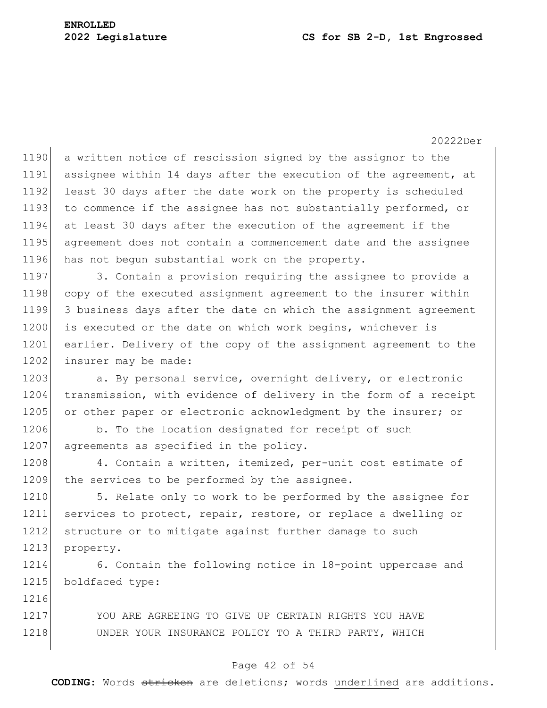1216

20222Der

1190 a written notice of rescission signed by the assignor to the assignee within 14 days after the execution of the agreement, at 1192 least 30 days after the date work on the property is scheduled to commence if the assignee has not substantially performed, or at least 30 days after the execution of the agreement if the agreement does not contain a commencement date and the assignee has not begun substantial work on the property.

1197 3. Contain a provision requiring the assignee to provide a 1198 copy of the executed assignment agreement to the insurer within 1199 3 business days after the date on which the assignment agreement 1200 is executed or the date on which work begins, whichever is 1201 earlier. Delivery of the copy of the assignment agreement to the 1202 insurer may be made:

1203 a. By personal service, overnight delivery, or electronic 1204 transmission, with evidence of delivery in the form of a receipt 1205 or other paper or electronic acknowledgment by the insurer; or

1206 b. To the location designated for receipt of such 1207 agreements as specified in the policy.

1208 4. Contain a written, itemized, per-unit cost estimate of 1209 the services to be performed by the assignee.

1210 5. Relate only to work to be performed by the assignee for 1211 services to protect, repair, restore, or replace a dwelling or 1212 structure or to mitigate against further damage to such 1213 property.

1214 6. Contain the following notice in 18-point uppercase and 1215 boldfaced type:

1217 YOU ARE AGREEING TO GIVE UP CERTAIN RIGHTS YOU HAVE 1218 UNDER YOUR INSURANCE POLICY TO A THIRD PARTY, WHICH

### Page 42 of 54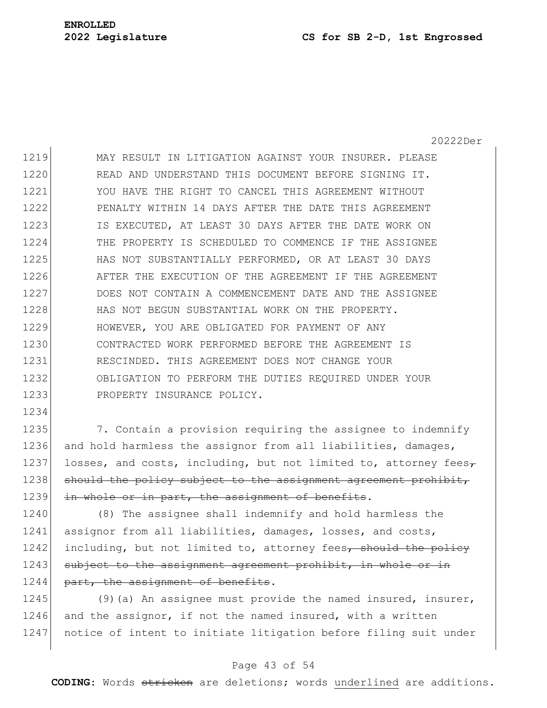1234

20222Der

1219 MAY RESULT IN LITIGATION AGAINST YOUR INSURER. PLEASE 1220 READ AND UNDERSTAND THIS DOCUMENT BEFORE SIGNING IT. 1221 YOU HAVE THE RIGHT TO CANCEL THIS AGREEMENT WITHOUT 1222 PENALTY WITHIN 14 DAYS AFTER THE DATE THIS AGREEMENT 1223 IS EXECUTED, AT LEAST 30 DAYS AFTER THE DATE WORK ON 1224 THE PROPERTY IS SCHEDULED TO COMMENCE IF THE ASSIGNEE 1225 HAS NOT SUBSTANTIALLY PERFORMED, OR AT LEAST 30 DAYS 1226 AFTER THE EXECUTION OF THE AGREEMENT IF THE AGREEMENT 1227 DOES NOT CONTAIN A COMMENCEMENT DATE AND THE ASSIGNEE 1228 HAS NOT BEGUN SUBSTANTIAL WORK ON THE PROPERTY. 1229 HOWEVER, YOU ARE OBLIGATED FOR PAYMENT OF ANY 1230 CONTRACTED WORK PERFORMED BEFORE THE AGREEMENT IS 1231 RESCINDED. THIS AGREEMENT DOES NOT CHANGE YOUR 1232 OBLIGATION TO PERFORM THE DUTIES REQUIRED UNDER YOUR 1233 PROPERTY INSURANCE POLICY.

1235 7. Contain a provision requiring the assignee to indemnify 1236 and hold harmless the assignor from all liabilities, damages, 1237 losses, and costs, including, but not limited to, attorney fees $\tau$ 1238 should the policy subject to the assignment agreement prohibit, 1239 in whole or in part, the assignment of benefits.

1240 (8) The assignee shall indemnify and hold harmless the 1241 assignor from all liabilities, damages, losses, and costs, 1242 including, but not limited to, attorney fees $\tau$  should the policy 1243 subject to the assignment agreement prohibit, in whole or in 1244 part, the assignment of benefits.

1245 (9)(a) An assignee must provide the named insured, insurer, 1246 and the assignor, if not the named insured, with a written 1247 notice of intent to initiate litigation before filing suit under

## Page 43 of 54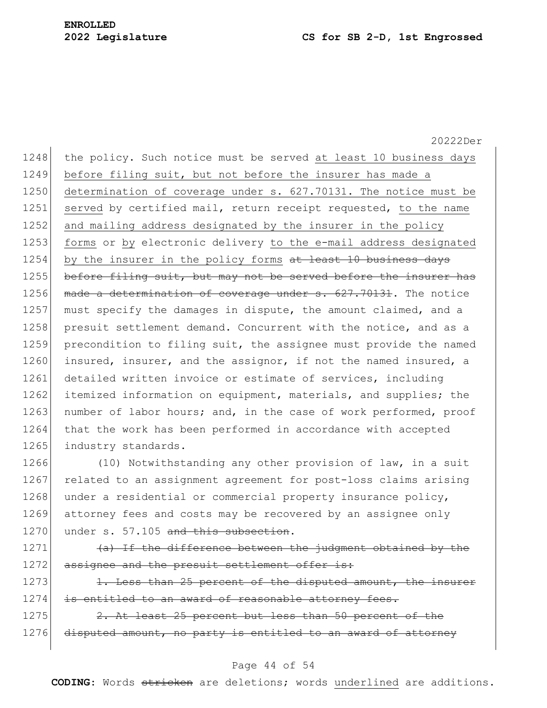20222Der 1248 the policy. Such notice must be served at least 10 business days 1249 before filing suit, but not before the insurer has made a 1250 determination of coverage under s. 627.70131. The notice must be 1251 served by certified mail, return receipt requested, to the name 1252 and mailing address designated by the insurer in the policy 1253 forms or by electronic delivery to the e-mail address designated 1254 by the insurer in the policy forms  $at$  least 10 business days 1255 before filing suit, but may not be served before the insurer has 1256 made a determination of coverage under s. 627.70131. The notice 1257 must specify the damages in dispute, the amount claimed, and a 1258 presuit settlement demand. Concurrent with the notice, and as a 1259 precondition to filing suit, the assignee must provide the named 1260 insured, insurer, and the assignor, if not the named insured, a 1261 detailed written invoice or estimate of services, including 1262 itemized information on equipment, materials, and supplies; the 1263 number of labor hours; and, in the case of work performed, proof 1264 that the work has been performed in accordance with accepted 1265 industry standards.

1266 (10) Notwithstanding any other provision of law, in a suit 1267 related to an assignment agreement for post-loss claims arising 1268 under a residential or commercial property insurance policy, 1269 attorney fees and costs may be recovered by an assignee only 1270 under s.  $57.105$  and this subsection.

1271 (a) If the difference between the judgment obtained by the 1272 assignee and the presuit settlement offer is:

 $1273$  1. Less than 25 percent of the disputed amount, the insurer 1274 is entitled to an award of reasonable attorney fees.

 $1275$  2. At least 25 percent but less than 50 percent of the 1276 disputed amount, no party is entitled to an award of attorney

#### Page 44 of 54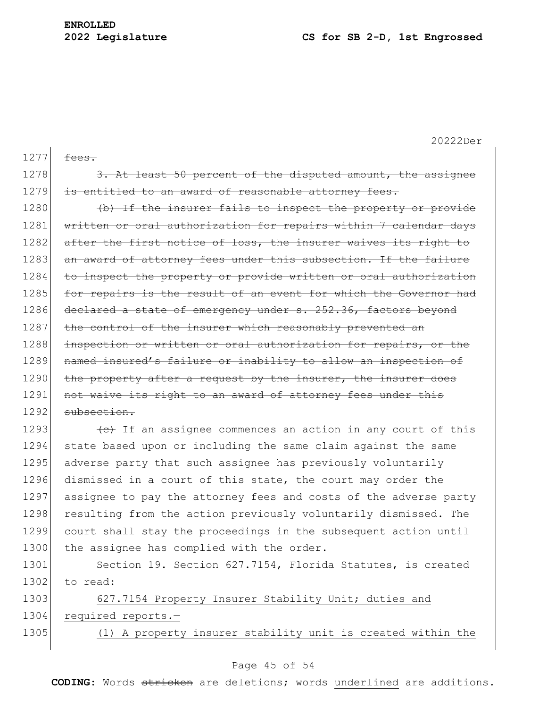| 1277 | fees.                                                            |
|------|------------------------------------------------------------------|
| 1278 | 3. At least 50 percent of the disputed amount, the assignee      |
| 1279 | is entitled to an award of reasonable attorney fees.             |
| 1280 | (b) If the insurer fails to inspect the property or provide      |
| 1281 | written or oral authorization for repairs within 7 calendar days |
| 1282 | after the first notice of loss, the insurer waives its right to  |
| 1283 | an award of attorney fees under this subsection. If the failure  |
| 1284 | to inspect the property or provide written or oral authorization |
| 1285 | for repairs is the result of an event for which the Governor had |
| 1286 | declared a state of emergency under s. 252.36, factors beyond    |
| 1287 | the control of the insurer which reasonably prevented an         |
| 1288 | inspection or written or oral authorization for repairs, or the  |
| 1289 | named insured's failure or inability to allow an inspection of   |
| 1290 | the property after a request by the insurer, the insurer does    |
| 1291 | not waive its right to an award of attorney fees under this      |
| 1292 | subsection.                                                      |
| 1293 | (e) If an assignee commences an action in any court of this      |
| 1294 | state based upon or including the same claim against the same    |
| 1295 | adverse party that such assignee has previously voluntarily      |
| 1296 | dismissed in a court of this state, the court may order the      |
| 1297 | assignee to pay the attorney fees and costs of the adverse party |
| 1298 | resulting from the action previously voluntarily dismissed. The  |
| 1299 | court shall stay the proceedings in the subsequent action until  |
| 1300 | the assignee has complied with the order.                        |
| 1301 | Section 19. Section 627.7154, Florida Statutes, is created       |
| 1302 | to read:                                                         |
| 1303 | 627.7154 Property Insurer Stability Unit; duties and             |
| 1304 | required reports.-                                               |
| 1305 | (1) A property insurer stability unit is created within the      |
|      |                                                                  |

## Page 45 of 54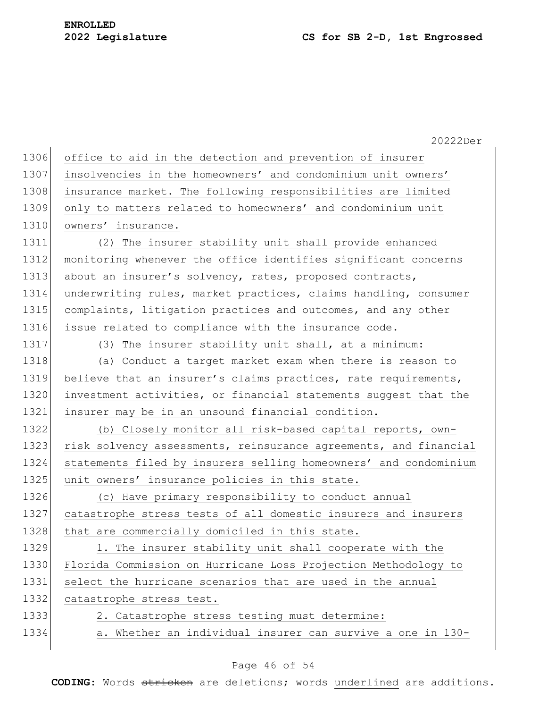|      | 20222Der                                                         |
|------|------------------------------------------------------------------|
| 1306 | office to aid in the detection and prevention of insurer         |
| 1307 | insolvencies in the homeowners' and condominium unit owners'     |
| 1308 | insurance market. The following responsibilities are limited     |
| 1309 | only to matters related to homeowners' and condominium unit      |
| 1310 | owners' insurance.                                               |
| 1311 | (2) The insurer stability unit shall provide enhanced            |
| 1312 | monitoring whenever the office identifies significant concerns   |
| 1313 | about an insurer's solvency, rates, proposed contracts,          |
| 1314 | underwriting rules, market practices, claims handling, consumer  |
| 1315 | complaints, litigation practices and outcomes, and any other     |
| 1316 | issue related to compliance with the insurance code.             |
| 1317 | (3) The insurer stability unit shall, at a minimum:              |
| 1318 | (a) Conduct a target market exam when there is reason to         |
| 1319 | believe that an insurer's claims practices, rate requirements,   |
| 1320 | investment activities, or financial statements suggest that the  |
| 1321 | insurer may be in an unsound financial condition.                |
| 1322 | (b) Closely monitor all risk-based capital reports, own-         |
| 1323 | risk solvency assessments, reinsurance agreements, and financial |
| 1324 | statements filed by insurers selling homeowners' and condominium |
| 1325 | unit owners' insurance policies in this state.                   |
| 1326 | (c) Have primary responsibility to conduct annual                |
| 1327 | catastrophe stress tests of all domestic insurers and insurers   |
| 1328 | that are commercially domiciled in this state.                   |
| 1329 | 1. The insurer stability unit shall cooperate with the           |
| 1330 | Florida Commission on Hurricane Loss Projection Methodology to   |
| 1331 | select the hurricane scenarios that are used in the annual       |
| 1332 | catastrophe stress test.                                         |
| 1333 | 2. Catastrophe stress testing must determine:                    |
| 1334 | a. Whether an individual insurer can survive a one in 130-       |
|      |                                                                  |

# Page 46 of 54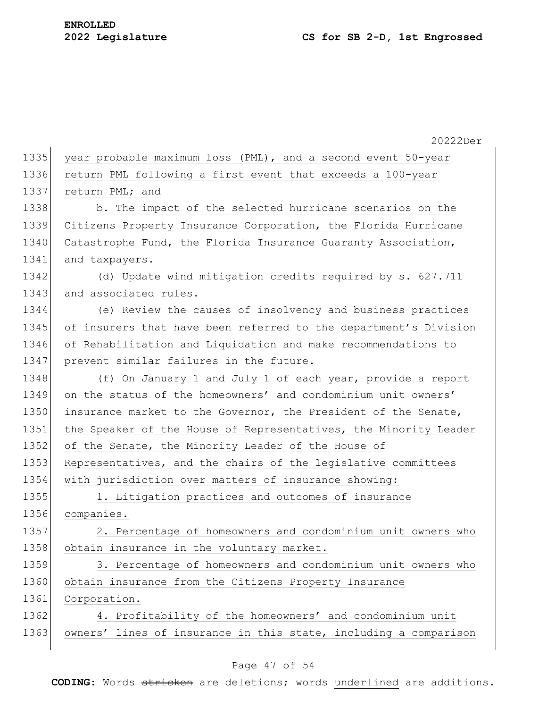|      | 20222Der                                                         |
|------|------------------------------------------------------------------|
| 1335 | year probable maximum loss (PML), and a second event 50-year     |
| 1336 | return PML following a first event that exceeds a 100-year       |
| 1337 | return PML; and                                                  |
| 1338 | b. The impact of the selected hurricane scenarios on the         |
| 1339 | Citizens Property Insurance Corporation, the Florida Hurricane   |
| 1340 | Catastrophe Fund, the Florida Insurance Guaranty Association,    |
| 1341 | and taxpayers.                                                   |
| 1342 | (d) Update wind mitigation credits required by s. 627.711        |
| 1343 | and associated rules.                                            |
| 1344 | (e) Review the causes of insolvency and business practices       |
| 1345 | of insurers that have been referred to the department's Division |
| 1346 | of Rehabilitation and Liquidation and make recommendations to    |
| 1347 | prevent similar failures in the future.                          |
| 1348 | (f) On January 1 and July 1 of each year, provide a report       |
| 1349 | on the status of the homeowners' and condominium unit owners'    |
| 1350 | insurance market to the Governor, the President of the Senate,   |
| 1351 | the Speaker of the House of Representatives, the Minority Leader |
| 1352 | of the Senate, the Minority Leader of the House of               |
| 1353 | Representatives, and the chairs of the legislative committees    |
| 1354 | with jurisdiction over matters of insurance showing:             |
| 1355 | 1. Litigation practices and outcomes of insurance                |
| 1356 | companies.                                                       |
| 1357 | 2. Percentage of homeowners and condominium unit owners who      |
| 1358 | obtain insurance in the voluntary market.                        |
| 1359 | 3. Percentage of homeowners and condominium unit owners who      |
| 1360 | obtain insurance from the Citizens Property Insurance            |
| 1361 | Corporation.                                                     |
| 1362 | 4. Profitability of the homeowners' and condominium unit         |
| 1363 | owners' lines of insurance in this state, including a comparison |
|      |                                                                  |

# Page 47 of 54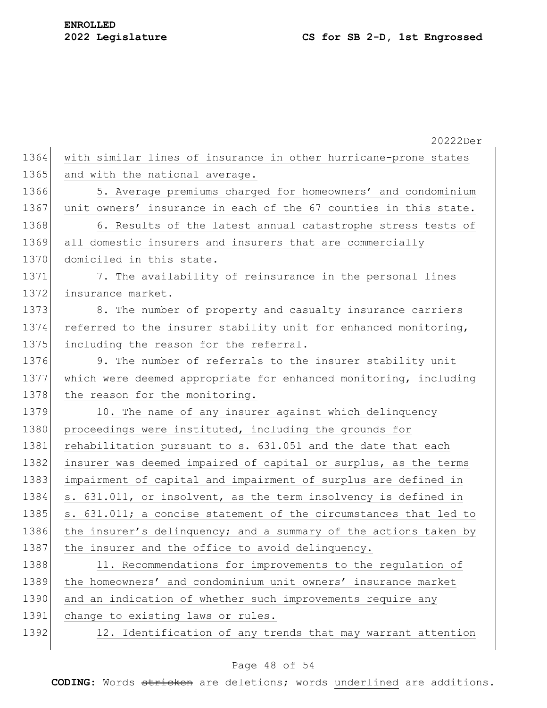|      | 20222Der                                                         |
|------|------------------------------------------------------------------|
| 1364 | with similar lines of insurance in other hurricane-prone states  |
| 1365 | and with the national average.                                   |
| 1366 | 5. Average premiums charged for homeowners' and condominium      |
| 1367 | unit owners' insurance in each of the 67 counties in this state. |
| 1368 | 6. Results of the latest annual catastrophe stress tests of      |
| 1369 | all domestic insurers and insurers that are commercially         |
| 1370 | domiciled in this state.                                         |
| 1371 | 7. The availability of reinsurance in the personal lines         |
| 1372 | insurance market.                                                |
| 1373 | 8. The number of property and casualty insurance carriers        |
| 1374 | referred to the insurer stability unit for enhanced monitoring,  |
| 1375 | including the reason for the referral.                           |
| 1376 | 9. The number of referrals to the insurer stability unit         |
| 1377 | which were deemed appropriate for enhanced monitoring, including |
| 1378 | the reason for the monitoring.                                   |
| 1379 | 10. The name of any insurer against which delinquency            |
| 1380 | proceedings were instituted, including the grounds for           |
| 1381 | rehabilitation pursuant to s. 631.051 and the date that each     |
| 1382 | insurer was deemed impaired of capital or surplus, as the terms  |
| 1383 | impairment of capital and impairment of surplus are defined in   |
| 1384 | s. 631.011, or insolvent, as the term insolvency is defined in   |
| 1385 | s. 631.011; a concise statement of the circumstances that led to |
| 1386 | the insurer's delinquency; and a summary of the actions taken by |
| 1387 | the insurer and the office to avoid delinquency.                 |
| 1388 | 11. Recommendations for improvements to the regulation of        |
| 1389 | the homeowners' and condominium unit owners' insurance market    |
| 1390 | and an indication of whether such improvements require any       |
| 1391 | change to existing laws or rules.                                |
| 1392 | 12. Identification of any trends that may warrant attention      |
|      |                                                                  |

# Page 48 of 54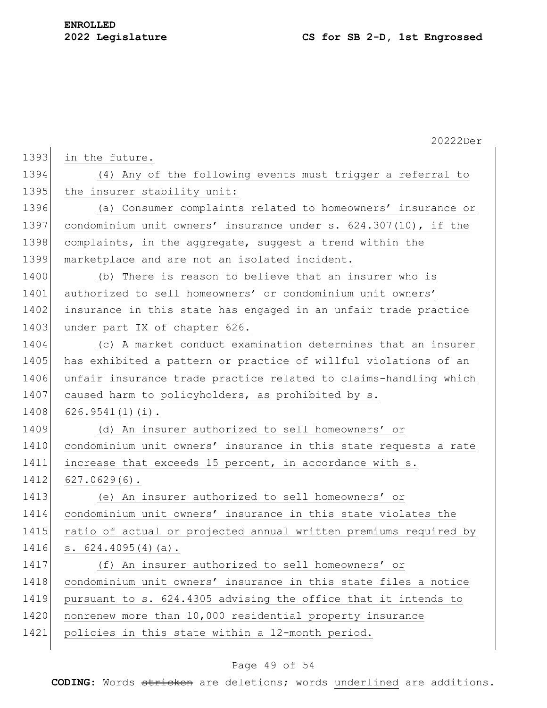|      | 20222Der                                                         |
|------|------------------------------------------------------------------|
| 1393 | in the future.                                                   |
| 1394 | (4) Any of the following events must trigger a referral to       |
| 1395 | the insurer stability unit:                                      |
| 1396 | (a) Consumer complaints related to homeowners' insurance or      |
| 1397 | condominium unit owners' insurance under s. 624.307(10), if the  |
| 1398 | complaints, in the aggregate, suggest a trend within the         |
| 1399 | marketplace and are not an isolated incident.                    |
| 1400 | (b) There is reason to believe that an insurer who is            |
| 1401 | authorized to sell homeowners' or condominium unit owners'       |
| 1402 | insurance in this state has engaged in an unfair trade practice  |
| 1403 | under part IX of chapter 626.                                    |
| 1404 | (c) A market conduct examination determines that an insurer      |
| 1405 | has exhibited a pattern or practice of willful violations of an  |
| 1406 | unfair insurance trade practice related to claims-handling which |
| 1407 | caused harm to policyholders, as prohibited by s.                |
| 1408 | $626.9541(1)(i)$ .                                               |
| 1409 | (d) An insurer authorized to sell homeowners' or                 |
| 1410 | condominium unit owners' insurance in this state requests a rate |
| 1411 | increase that exceeds 15 percent, in accordance with s.          |
| 1412 | $627.0629(6)$ .                                                  |
| 1413 | (e) An insurer authorized to sell homeowners' or                 |
| 1414 | condominium unit owners' insurance in this state violates the    |
| 1415 | ratio of actual or projected annual written premiums required by |
| 1416 | s. $624.4095(4)(a)$ .                                            |
| 1417 | (f) An insurer authorized to sell homeowners' or                 |
| 1418 | condominium unit owners' insurance in this state files a notice  |
| 1419 | pursuant to s. 624.4305 advising the office that it intends to   |
| 1420 | nonrenew more than 10,000 residential property insurance         |
| 1421 | policies in this state within a 12-month period.                 |
|      |                                                                  |

# Page 49 of 54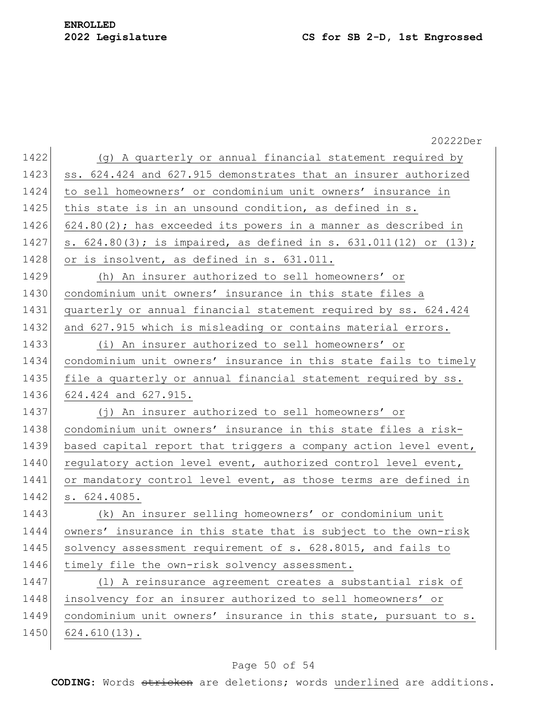|      | 20222Der                                                                 |
|------|--------------------------------------------------------------------------|
| 1422 | (g) A quarterly or annual financial statement required by                |
| 1423 | ss. 624.424 and 627.915 demonstrates that an insurer authorized          |
| 1424 | to sell homeowners' or condominium unit owners' insurance in             |
| 1425 | this state is in an unsound condition, as defined in s.                  |
| 1426 | $624.80(2)$ ; has exceeded its powers in a manner as described in        |
| 1427 | s. $624.80(3)$ ; is impaired, as defined in s. $631.011(12)$ or $(13)$ ; |
| 1428 | or is insolvent, as defined in s. 631.011.                               |
| 1429 | (h) An insurer authorized to sell homeowners' or                         |
| 1430 | condominium unit owners' insurance in this state files a                 |
| 1431 | quarterly or annual financial statement required by ss. 624.424          |
| 1432 | and 627.915 which is misleading or contains material errors.             |
| 1433 | (i) An insurer authorized to sell homeowners' or                         |
| 1434 | condominium unit owners' insurance in this state fails to timely         |
| 1435 | file a quarterly or annual financial statement required by ss.           |
| 1436 | 624.424 and 627.915.                                                     |
| 1437 | (j) An insurer authorized to sell homeowners' or                         |
| 1438 | condominium unit owners' insurance in this state files a risk-           |
| 1439 | based capital report that triggers a company action level event,         |
| 1440 | regulatory action level event, authorized control level event,           |
| 1441 | or mandatory control level event, as those terms are defined in          |
| 1442 | s. 624.4085.                                                             |
| 1443 | (k) An insurer selling homeowners' or condominium unit                   |
| 1444 | owners' insurance in this state that is subject to the own-risk          |
| 1445 | solvency assessment requirement of s. 628.8015, and fails to             |
| 1446 | timely file the own-risk solvency assessment.                            |
| 1447 | (1) A reinsurance agreement creates a substantial risk of                |
| 1448 | insolvency for an insurer authorized to sell homeowners' or              |
| 1449 | condominium unit owners' insurance in this state, pursuant to s.         |
| 1450 | $624.610(13)$ .                                                          |
|      |                                                                          |

# Page 50 of 54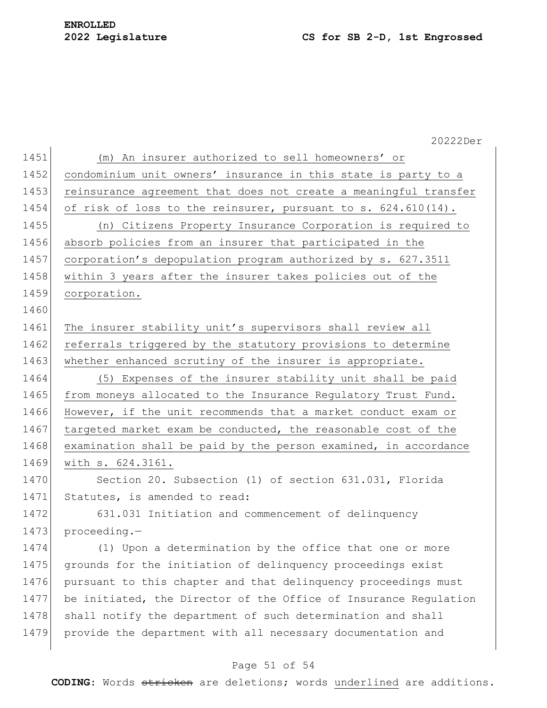# **ENROLLED**

## **Legislature CS for SB 2-D, 1st Engrossed**

|      | 20222Der                                                         |
|------|------------------------------------------------------------------|
| 1451 | (m) An insurer authorized to sell homeowners' or                 |
| 1452 | condominium unit owners' insurance in this state is party to a   |
| 1453 | reinsurance agreement that does not create a meaningful transfer |
| 1454 | of risk of loss to the reinsurer, pursuant to s. 624.610(14).    |
| 1455 | (n) Citizens Property Insurance Corporation is required to       |
| 1456 | absorb policies from an insurer that participated in the         |
| 1457 | corporation's depopulation program authorized by s. 627.3511     |
| 1458 | within 3 years after the insurer takes policies out of the       |
| 1459 | corporation.                                                     |
| 1460 |                                                                  |
| 1461 | The insurer stability unit's supervisors shall review all        |
| 1462 | referrals triggered by the statutory provisions to determine     |
| 1463 | whether enhanced scrutiny of the insurer is appropriate.         |
| 1464 | (5) Expenses of the insurer stability unit shall be paid         |
| 1465 | from moneys allocated to the Insurance Regulatory Trust Fund.    |
| 1466 | However, if the unit recommends that a market conduct exam or    |
| 1467 | targeted market exam be conducted, the reasonable cost of the    |
| 1468 | examination shall be paid by the person examined, in accordance  |
| 1469 | with s. 624.3161.                                                |
| 1470 | Section 20. Subsection (1) of section 631.031, Florida           |
| 1471 | Statutes, is amended to read:                                    |
| 1472 | 631.031 Initiation and commencement of delinquency               |
| 1473 | proceeding.-                                                     |
| 1474 | (1) Upon a determination by the office that one or more          |
| 1475 | grounds for the initiation of delinquency proceedings exist      |
| 1476 | pursuant to this chapter and that delinquency proceedings must   |
| 1477 | be initiated, the Director of the Office of Insurance Regulation |
| 1478 | shall notify the department of such determination and shall      |
| 1479 | provide the department with all necessary documentation and      |
|      |                                                                  |

# Page 51 of 54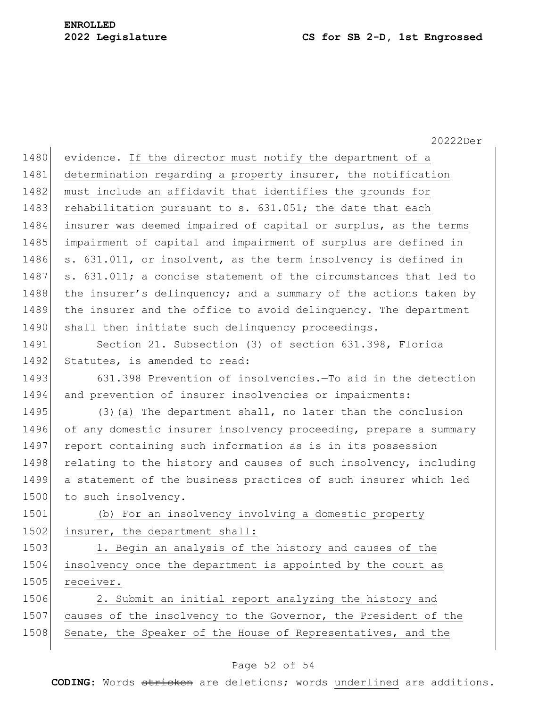|      | 20222Der                                                         |
|------|------------------------------------------------------------------|
| 1480 | evidence. If the director must notify the department of a        |
|      | determination regarding a property insurer, the notification     |
|      | must include an affidavit that identifies the grounds for        |
|      | rehabilitation pursuant to s. 631.051; the date that each        |
|      | insurer was deemed impaired of capital or surplus, as the terms  |
|      | impairment of capital and impairment of surplus are defined in   |
|      | s. 631.011, or insolvent, as the term insolvency is defined in   |
|      | s. 631.011; a concise statement of the circumstances that led to |
|      | the insurer's delinquency; and a summary of the actions taken by |
|      | the insurer and the office to avoid delinquency. The department  |
|      | shall then initiate such delinquency proceedings.                |
|      | Section 21. Subsection (3) of section 631.398, Florida           |
|      | Statutes, is amended to read:                                    |
|      | 631.398 Prevention of insolvencies. To aid in the detection      |
|      | and prevention of insurer insolvencies or impairments:           |
|      | (3) (a) The department shall, no later than the conclusion       |
|      | of any domestic insurer insolvency proceeding, prepare a summary |
|      | report containing such information as is in its possession       |
|      | relating to the history and causes of such insolvency, including |
|      | a statement of the business practices of such insurer which led  |
|      | to such insolvency.                                              |
|      | (b) For an insolvency involving a domestic property              |
|      | insurer, the department shall:                                   |
|      | 1. Begin an analysis of the history and causes of the            |
|      | insolvency once the department is appointed by the court as      |
|      | receiver.                                                        |
|      | 2. Submit an initial report analyzing the history and            |
|      | causes of the insolvency to the Governor, the President of the   |
|      | Senate, the Speaker of the House of Representatives, and the     |

## Page 52 of 54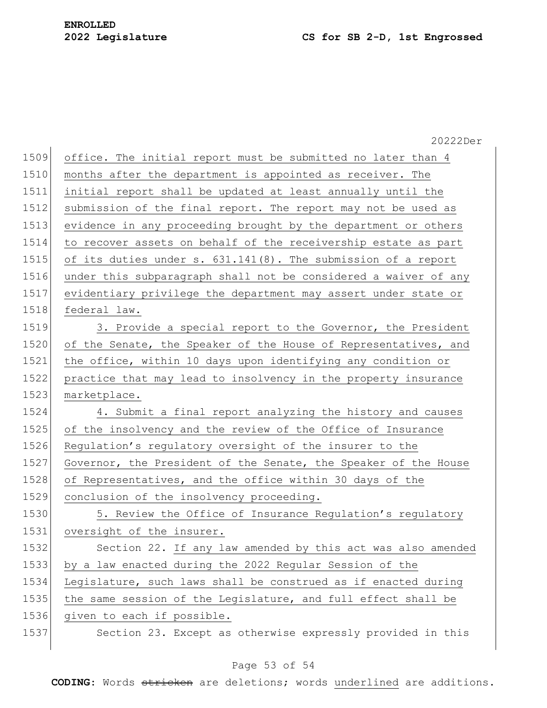|      | 20222Der                                                        |
|------|-----------------------------------------------------------------|
| 1509 | office. The initial report must be submitted no later than 4    |
| 1510 | months after the department is appointed as receiver. The       |
| 1511 | initial report shall be updated at least annually until the     |
| 1512 | submission of the final report. The report may not be used as   |
| 1513 | evidence in any proceeding brought by the department or others  |
| 1514 | to recover assets on behalf of the receivership estate as part  |
| 1515 | of its duties under s. 631.141(8). The submission of a report   |
| 1516 | under this subparagraph shall not be considered a waiver of any |
| 1517 | evidentiary privilege the department may assert under state or  |
| 1518 | federal law.                                                    |
| 1519 | 3. Provide a special report to the Governor, the President      |
| 1520 | of the Senate, the Speaker of the House of Representatives, and |
| 1521 | the office, within 10 days upon identifying any condition or    |
| 1522 | practice that may lead to insolvency in the property insurance  |
| 1523 | marketplace.                                                    |
| 1524 | 4. Submit a final report analyzing the history and causes       |
| 1525 | of the insolvency and the review of the Office of Insurance     |
| 1526 | Regulation's regulatory oversight of the insurer to the         |
| 1527 | Governor, the President of the Senate, the Speaker of the House |
| 1528 | of Representatives, and the office within 30 days of the        |
| 1529 | conclusion of the insolvency proceeding.                        |
| 1530 | 5. Review the Office of Insurance Regulation's regulatory       |
| 1531 | oversight of the insurer.                                       |
| 1532 | Section 22. If any law amended by this act was also amended     |
| 1533 | by a law enacted during the 2022 Regular Session of the         |
| 1534 | Legislature, such laws shall be construed as if enacted during  |
| 1535 | the same session of the Legislature, and full effect shall be   |
| 1536 | given to each if possible.                                      |
| 1537 | Section 23. Except as otherwise expressly provided in this      |
|      |                                                                 |

## Page 53 of 54